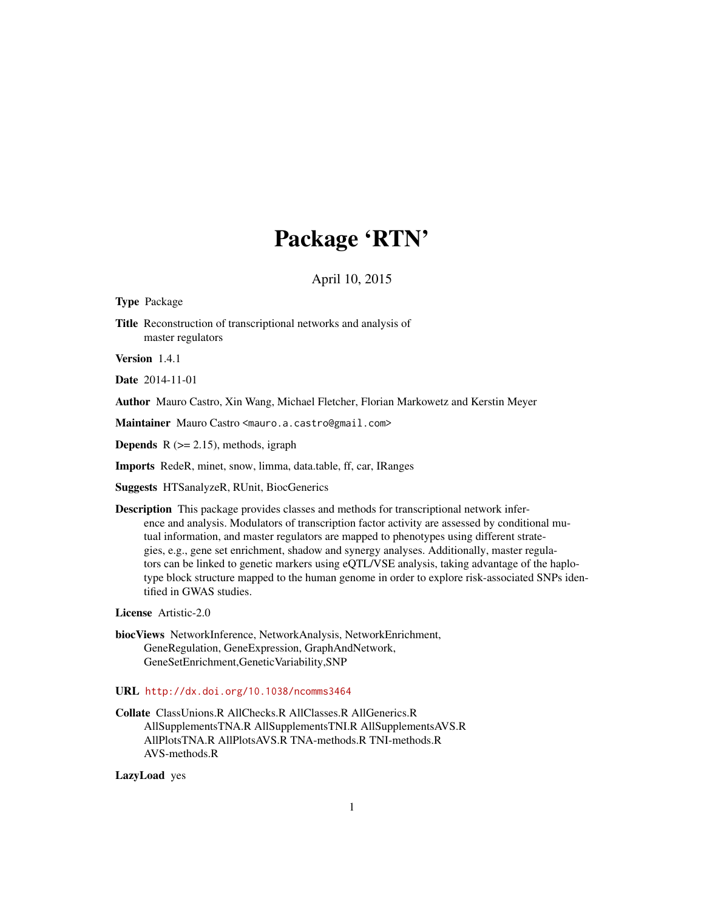# Package 'RTN'

## April 10, 2015

<span id="page-0-0"></span>Type Package

Title Reconstruction of transcriptional networks and analysis of master regulators

Version 1.4.1

Date 2014-11-01

Author Mauro Castro, Xin Wang, Michael Fletcher, Florian Markowetz and Kerstin Meyer

Maintainer Mauro Castro <mauro.a.castro@gmail.com>

**Depends**  $R$  ( $>= 2.15$ ), methods, igraph

Imports RedeR, minet, snow, limma, data.table, ff, car, IRanges

Suggests HTSanalyzeR, RUnit, BiocGenerics

Description This package provides classes and methods for transcriptional network inference and analysis. Modulators of transcription factor activity are assessed by conditional mutual information, and master regulators are mapped to phenotypes using different strategies, e.g., gene set enrichment, shadow and synergy analyses. Additionally, master regulators can be linked to genetic markers using eQTL/VSE analysis, taking advantage of the haplotype block structure mapped to the human genome in order to explore risk-associated SNPs identified in GWAS studies.

License Artistic-2.0

biocViews NetworkInference, NetworkAnalysis, NetworkEnrichment, GeneRegulation, GeneExpression, GraphAndNetwork, GeneSetEnrichment,GeneticVariability,SNP

URL <http://dx.doi.org/10.1038/ncomms3464>

Collate ClassUnions.R AllChecks.R AllClasses.R AllGenerics.R AllSupplementsTNA.R AllSupplementsTNI.R AllSupplementsAVS.R AllPlotsTNA.R AllPlotsAVS.R TNA-methods.R TNI-methods.R AVS-methods.R

LazyLoad yes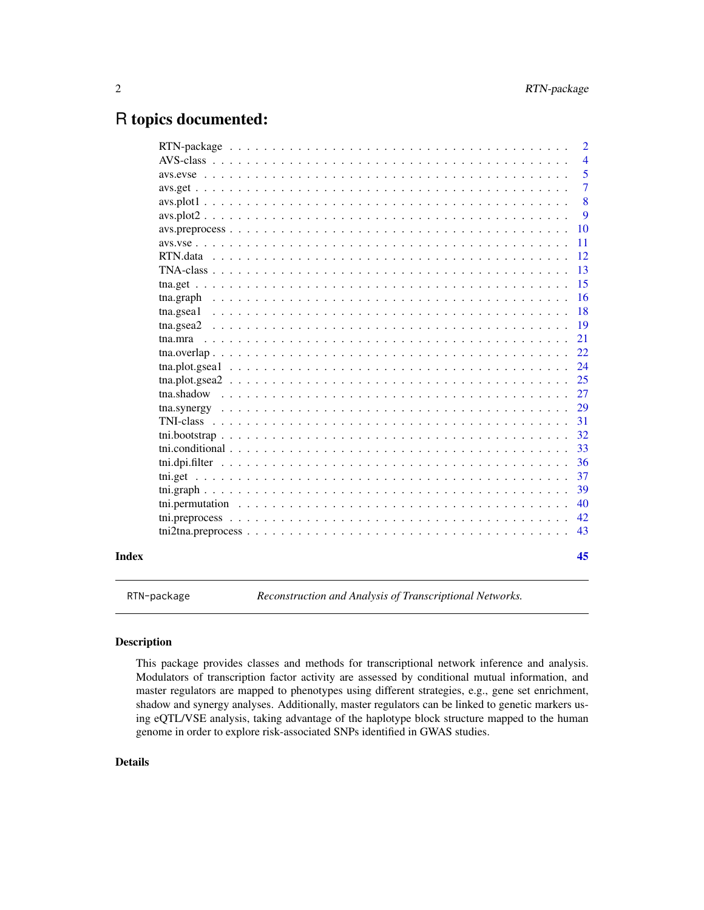## <span id="page-1-0"></span>R topics documented:

|       |                 | $\overline{2}$ |
|-------|-----------------|----------------|
|       |                 | $\overline{4}$ |
|       |                 | 5              |
|       |                 | $\overline{7}$ |
|       |                 | 8              |
|       | $avs. plot2$    | 9              |
|       | 10              |                |
|       | 11              |                |
|       | 12              |                |
|       | 13              |                |
|       | 15              |                |
|       | 16              |                |
|       | 18              |                |
|       | 19<br>tna.gsea2 |                |
|       | 21              |                |
|       | 22              |                |
|       | 24              |                |
|       | 25              |                |
|       | 27              |                |
|       | 29              |                |
|       | 31              |                |
|       | 32              |                |
|       | 33              |                |
|       | 36              |                |
|       | 37              |                |
|       | 39              |                |
|       | 40              |                |
|       | 42              |                |
|       | 43              |                |
| Index | 45              |                |
|       |                 |                |

RTN-package *Reconstruction and Analysis of Transcriptional Networks.*

## Description

This package provides classes and methods for transcriptional network inference and analysis. Modulators of transcription factor activity are assessed by conditional mutual information, and master regulators are mapped to phenotypes using different strategies, e.g., gene set enrichment, shadow and synergy analyses. Additionally, master regulators can be linked to genetic markers using eQTL/VSE analysis, taking advantage of the haplotype block structure mapped to the human genome in order to explore risk-associated SNPs identified in GWAS studies.

## Details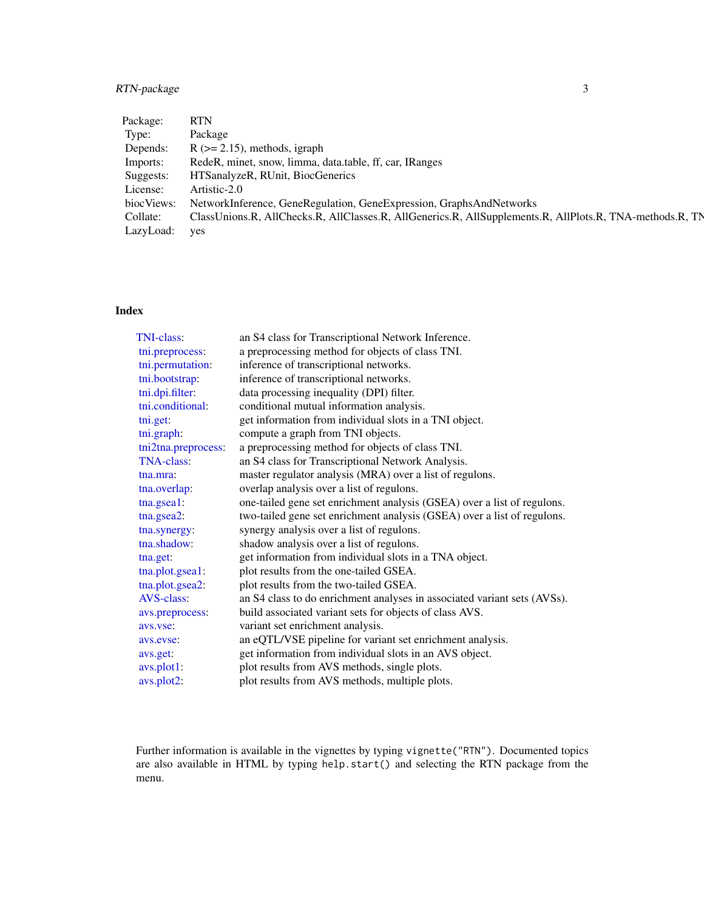## RTN-package 3

| Package:   | <b>RTN</b>                                                                                               |
|------------|----------------------------------------------------------------------------------------------------------|
| Type:      | Package                                                                                                  |
| Depends:   | $R$ ( $>= 2.15$ ), methods, igraph                                                                       |
| Imports:   | RedeR, minet, snow, limma, data.table, ff, car, IRanges                                                  |
| Suggests:  | HTSanalyzeR, RUnit, BiocGenerics                                                                         |
| License:   | Artistic-2.0                                                                                             |
| biocViews: | NetworkInference, GeneRegulation, GeneExpression, GraphsAndNetworks                                      |
| Collate:   | ClassUnions.R, AllChecks.R, AllClasses.R, AllGenerics.R, AllSupplements.R, AllPlots.R, TNA-methods.R, TN |
| LazyLoad:  | yes                                                                                                      |

## Index

| TNI-class:          | an S4 class for Transcriptional Network Inference.                       |
|---------------------|--------------------------------------------------------------------------|
| tni.preprocess:     | a preprocessing method for objects of class TNI.                         |
| tni.permutation:    | inference of transcriptional networks.                                   |
| tni.bootstrap:      | inference of transcriptional networks.                                   |
| tni.dpi.filter:     | data processing inequality (DPI) filter.                                 |
| tni.conditional:    | conditional mutual information analysis.                                 |
| tni.get:            | get information from individual slots in a TNI object.                   |
| tni.graph:          | compute a graph from TNI objects.                                        |
| tni2tna.preprocess: | a preprocessing method for objects of class TNI.                         |
| <b>TNA-class:</b>   | an S4 class for Transcriptional Network Analysis.                        |
| tna.mra:            | master regulator analysis (MRA) over a list of regulons.                 |
| tna.overlap:        | overlap analysis over a list of regulons.                                |
| tna.gsea1:          | one-tailed gene set enrichment analysis (GSEA) over a list of regulons.  |
| tna.gsea2:          | two-tailed gene set enrichment analysis (GSEA) over a list of regulons.  |
| tna.synergy:        | synergy analysis over a list of regulons.                                |
| tna.shadow:         | shadow analysis over a list of regulons.                                 |
| tna.get:            | get information from individual slots in a TNA object.                   |
| tna.plot.gsea1:     | plot results from the one-tailed GSEA.                                   |
| tna.plot.gsea2:     | plot results from the two-tailed GSEA.                                   |
| <b>AVS-class:</b>   | an S4 class to do enrichment analyses in associated variant sets (AVSs). |
| avs.preprocess:     | build associated variant sets for objects of class AVS.                  |
| avs.vse.            | variant set enrichment analysis.                                         |
| avs.evse:           | an eQTL/VSE pipeline for variant set enrichment analysis.                |
| avs.get:            | get information from individual slots in an AVS object.                  |
| avs.plot1:          | plot results from AVS methods, single plots.                             |
| avs.plot2:          | plot results from AVS methods, multiple plots.                           |

Further information is available in the vignettes by typing vignette("RTN"). Documented topics are also available in HTML by typing help.start() and selecting the RTN package from the menu.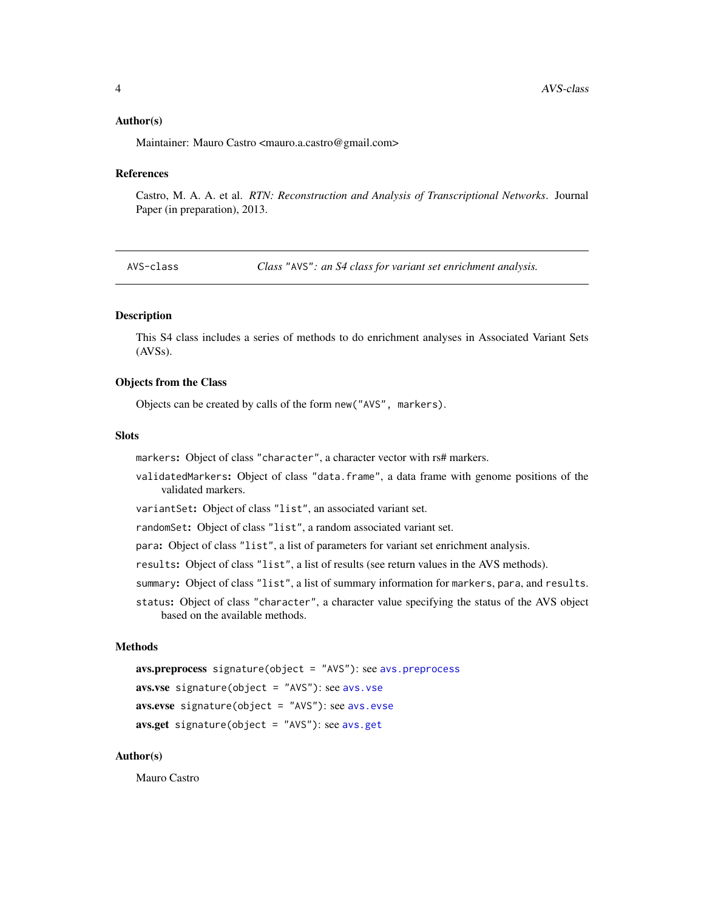#### <span id="page-3-0"></span>Author(s)

Maintainer: Mauro Castro <mauro.a.castro@gmail.com>

#### References

Castro, M. A. A. et al. *RTN: Reconstruction and Analysis of Transcriptional Networks*. Journal Paper (in preparation), 2013.

<span id="page-3-1"></span>AVS-class *Class* "AVS"*: an S4 class for variant set enrichment analysis.*

## Description

This S4 class includes a series of methods to do enrichment analyses in Associated Variant Sets (AVSs).

#### Objects from the Class

Objects can be created by calls of the form new("AVS", markers).

## Slots

markers: Object of class "character", a character vector with rs# markers.

validatedMarkers: Object of class "data.frame", a data frame with genome positions of the validated markers.

variantSet: Object of class "list", an associated variant set.

randomSet: Object of class "list", a random associated variant set.

para: Object of class "list", a list of parameters for variant set enrichment analysis.

results: Object of class "list", a list of results (see return values in the AVS methods).

- summary: Object of class "list", a list of summary information for markers, para, and results.
- status: Object of class "character", a character value specifying the status of the AVS object based on the available methods.

#### Methods

```
avs.preprocess signature(object = "AVS"): see avs.preprocess
avs.vse signature(object = "AVS"): see avs.vse
avs.evse signature(object = "AVS"): see avs.evse
avs.get signature(object = "AVS"): see avs.get
```
## Author(s)

Mauro Castro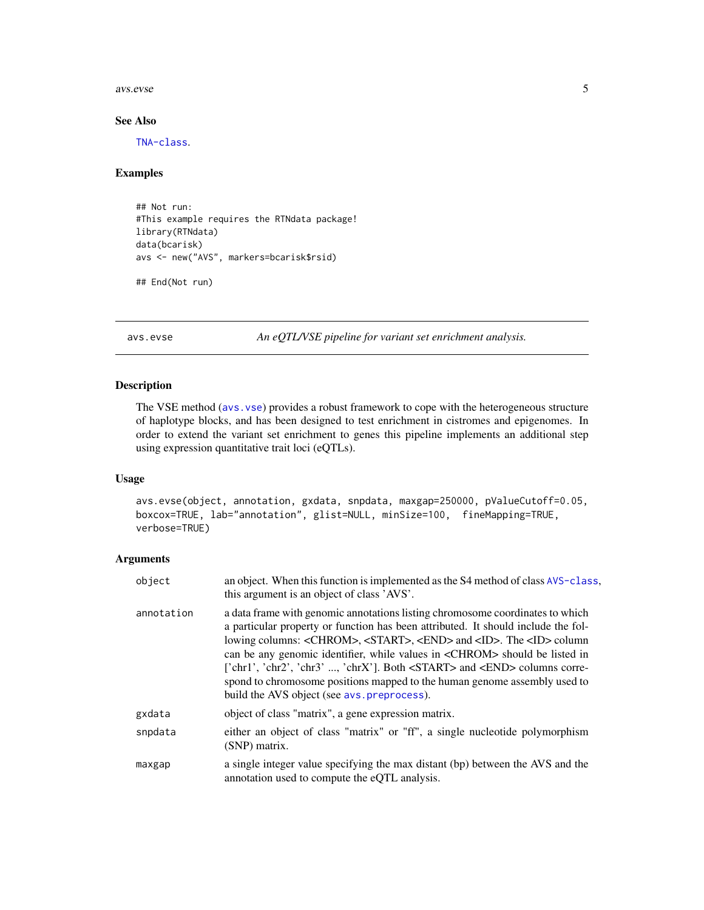#### <span id="page-4-0"></span>avs.evse 5

#### See Also

[TNA-class](#page-12-1).

#### Examples

```
## Not run:
#This example requires the RTNdata package!
library(RTNdata)
data(bcarisk)
avs <- new("AVS", markers=bcarisk$rsid)
```

```
## End(Not run)
```
<span id="page-4-1"></span>avs.evse *An eQTL/VSE pipeline for variant set enrichment analysis.*

## Description

The VSE method ([avs.vse](#page-10-1)) provides a robust framework to cope with the heterogeneous structure of haplotype blocks, and has been designed to test enrichment in cistromes and epigenomes. In order to extend the variant set enrichment to genes this pipeline implements an additional step using expression quantitative trait loci (eQTLs).

#### Usage

```
avs.evse(object, annotation, gxdata, snpdata, maxgap=250000, pValueCutoff=0.05,
boxcox=TRUE, lab="annotation", glist=NULL, minSize=100, fineMapping=TRUE,
verbose=TRUE)
```
## Arguments

| object     | an object. When this function is implemented as the S4 method of class AVS-class,<br>this argument is an object of class 'AVS'.                                                                                                                                                                                                                                                                                                                                                                                                                                                         |
|------------|-----------------------------------------------------------------------------------------------------------------------------------------------------------------------------------------------------------------------------------------------------------------------------------------------------------------------------------------------------------------------------------------------------------------------------------------------------------------------------------------------------------------------------------------------------------------------------------------|
| annotation | a data frame with genomic annotations listing chromosome coordinates to which<br>a particular property or function has been attributed. It should include the fol-<br>lowing columns: <chrom>, <start>, <end> and <id>. The <id> column<br/>can be any genomic identifier, while values in <chrom> should be listed in<br/>['chr1', 'chr2', 'chr3' , 'chrX']. Both <start> and <end> columns corre-<br/>spond to chromosome positions mapped to the human genome assembly used to<br/>build the AVS object (see avs. preprocess).</end></start></chrom></id></id></end></start></chrom> |
| gxdata     | object of class "matrix", a gene expression matrix.                                                                                                                                                                                                                                                                                                                                                                                                                                                                                                                                     |
| snpdata    | either an object of class "matrix" or "ff", a single nucleotide polymorphism<br>(SNP) matrix.                                                                                                                                                                                                                                                                                                                                                                                                                                                                                           |
| maxgap     | a single integer value specifying the max distant (bp) between the AVS and the<br>annotation used to compute the eQTL analysis.                                                                                                                                                                                                                                                                                                                                                                                                                                                         |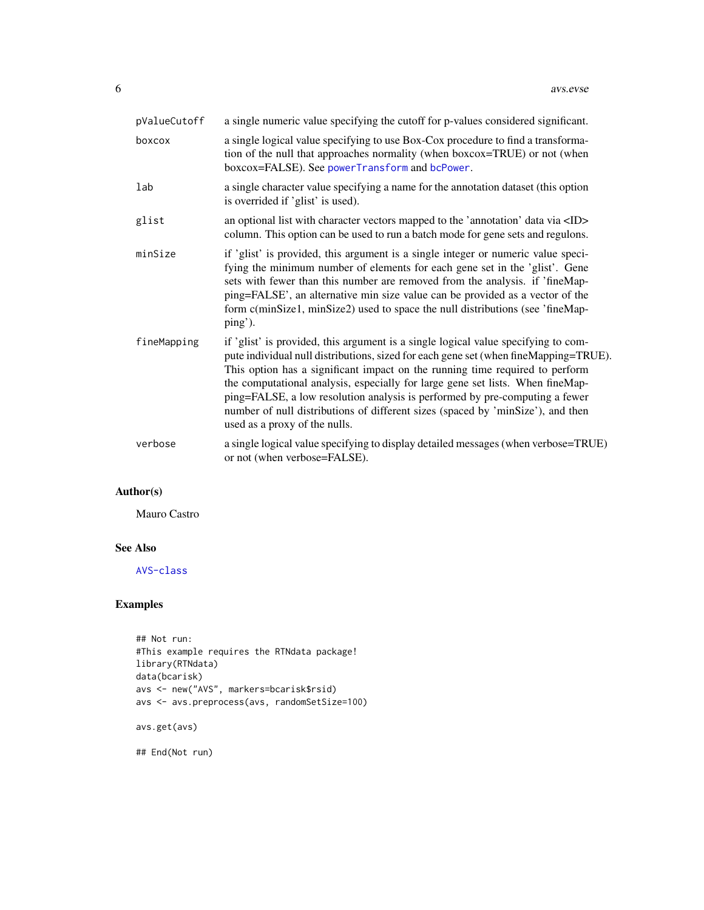| pValueCutoff | a single numeric value specifying the cutoff for p-values considered significant.                                                                                                                                                                                                                                                                                                                                                                                                                                                               |
|--------------|-------------------------------------------------------------------------------------------------------------------------------------------------------------------------------------------------------------------------------------------------------------------------------------------------------------------------------------------------------------------------------------------------------------------------------------------------------------------------------------------------------------------------------------------------|
| boxcox       | a single logical value specifying to use Box-Cox procedure to find a transforma-<br>tion of the null that approaches normality (when boxcox=TRUE) or not (when<br>boxcox=FALSE). See powerTransform and bcPower.                                                                                                                                                                                                                                                                                                                                |
| lab          | a single character value specifying a name for the annotation dataset (this option<br>is overrided if 'glist' is used).                                                                                                                                                                                                                                                                                                                                                                                                                         |
| glist        | an optional list with character vectors mapped to the 'annotation' data via <id><br/>column. This option can be used to run a batch mode for gene sets and regulons.</id>                                                                                                                                                                                                                                                                                                                                                                       |
| minSize      | if 'glist' is provided, this argument is a single integer or numeric value speci-<br>fying the minimum number of elements for each gene set in the 'glist'. Gene<br>sets with fewer than this number are removed from the analysis. if 'fineMap-<br>ping=FALSE', an alternative min size value can be provided as a vector of the<br>form c(minSize1, minSize2) used to space the null distributions (see 'fineMap-<br>ping').                                                                                                                  |
| fineMapping  | if 'glist' is provided, this argument is a single logical value specifying to com-<br>pute individual null distributions, sized for each gene set (when fineMapping=TRUE).<br>This option has a significant impact on the running time required to perform<br>the computational analysis, especially for large gene set lists. When fineMap-<br>ping=FALSE, a low resolution analysis is performed by pre-computing a fewer<br>number of null distributions of different sizes (spaced by 'minSize'), and then<br>used as a proxy of the nulls. |
| verbose      | a single logical value specifying to display detailed messages (when verbose=TRUE)<br>or not (when verbose=FALSE).                                                                                                                                                                                                                                                                                                                                                                                                                              |

## Author(s)

Mauro Castro

## See Also

[AVS-class](#page-3-1)

## Examples

```
## Not run:
#This example requires the RTNdata package!
library(RTNdata)
data(bcarisk)
avs <- new("AVS", markers=bcarisk$rsid)
avs <- avs.preprocess(avs, randomSetSize=100)
avs.get(avs)
```
## End(Not run)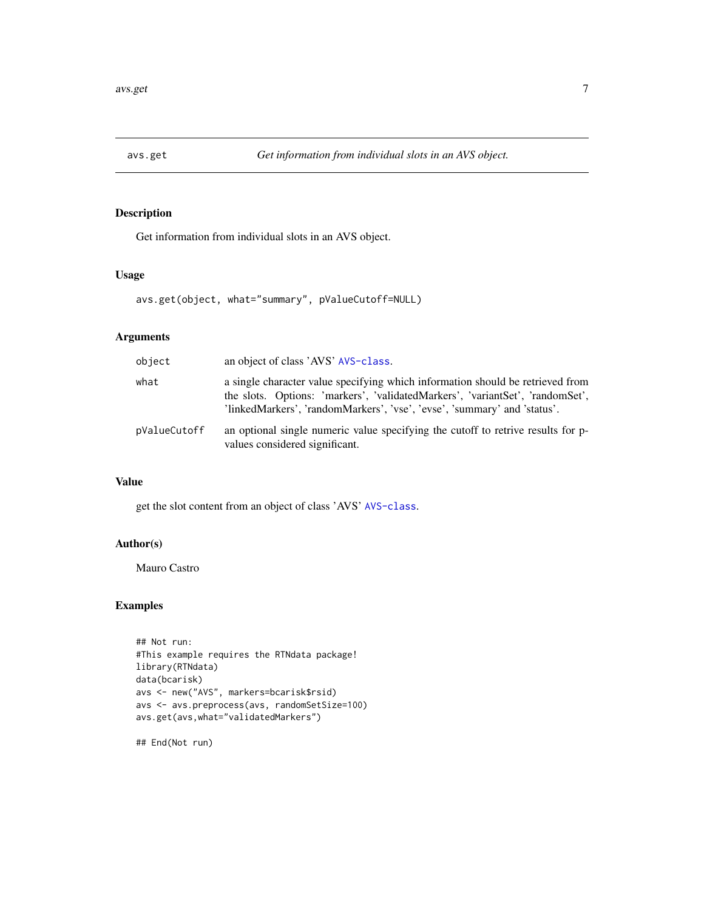<span id="page-6-1"></span><span id="page-6-0"></span>

Get information from individual slots in an AVS object.

#### Usage

avs.get(object, what="summary", pValueCutoff=NULL)

## Arguments

| object       | an object of class 'AVS' AVS-class.                                                                                                                                                                                                         |
|--------------|---------------------------------------------------------------------------------------------------------------------------------------------------------------------------------------------------------------------------------------------|
| what         | a single character value specifying which information should be retrieved from<br>the slots. Options: 'markers', 'validatedMarkers', 'variantSet', 'randomSet',<br>'linkedMarkers', 'randomMarkers', 'vse', 'evse', 'summary' and 'status'. |
| pValueCutoff | an optional single numeric value specifying the cutoff to retrive results for p-<br>values considered significant.                                                                                                                          |

## Value

get the slot content from an object of class 'AVS' [AVS-class](#page-3-1).

## Author(s)

Mauro Castro

## Examples

```
## Not run:
#This example requires the RTNdata package!
library(RTNdata)
data(bcarisk)
avs <- new("AVS", markers=bcarisk$rsid)
avs <- avs.preprocess(avs, randomSetSize=100)
avs.get(avs,what="validatedMarkers")
```
## End(Not run)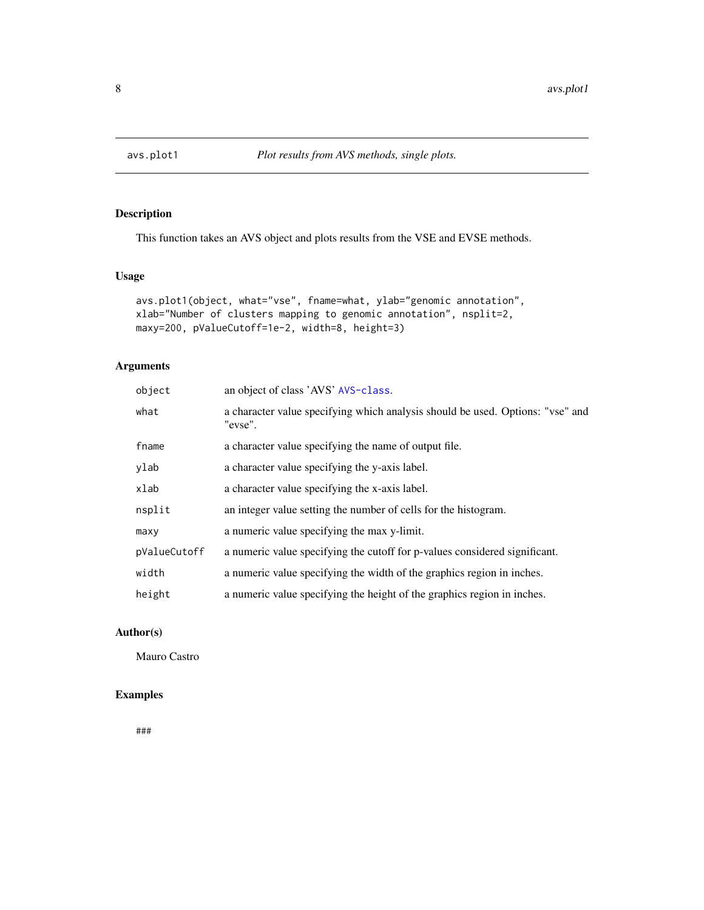<span id="page-7-1"></span><span id="page-7-0"></span>

This function takes an AVS object and plots results from the VSE and EVSE methods.

## Usage

```
avs.plot1(object, what="vse", fname=what, ylab="genomic annotation",
xlab="Number of clusters mapping to genomic annotation", nsplit=2,
maxy=200, pValueCutoff=1e-2, width=8, height=3)
```
## Arguments

| object       | an object of class 'AVS' AVS-class.                                                       |
|--------------|-------------------------------------------------------------------------------------------|
| what         | a character value specifying which analysis should be used. Options: "vse" and<br>"evse". |
| fname        | a character value specifying the name of output file.                                     |
| ylab         | a character value specifying the y-axis label.                                            |
| xlab         | a character value specifying the x-axis label.                                            |
| nsplit       | an integer value setting the number of cells for the histogram.                           |
| maxv         | a numeric value specifying the max y-limit.                                               |
| pValueCutoff | a numeric value specifying the cutoff for p-values considered significant.                |
| width        | a numeric value specifying the width of the graphics region in inches.                    |
| height       | a numeric value specifying the height of the graphics region in inches.                   |

## Author(s)

Mauro Castro

## Examples

###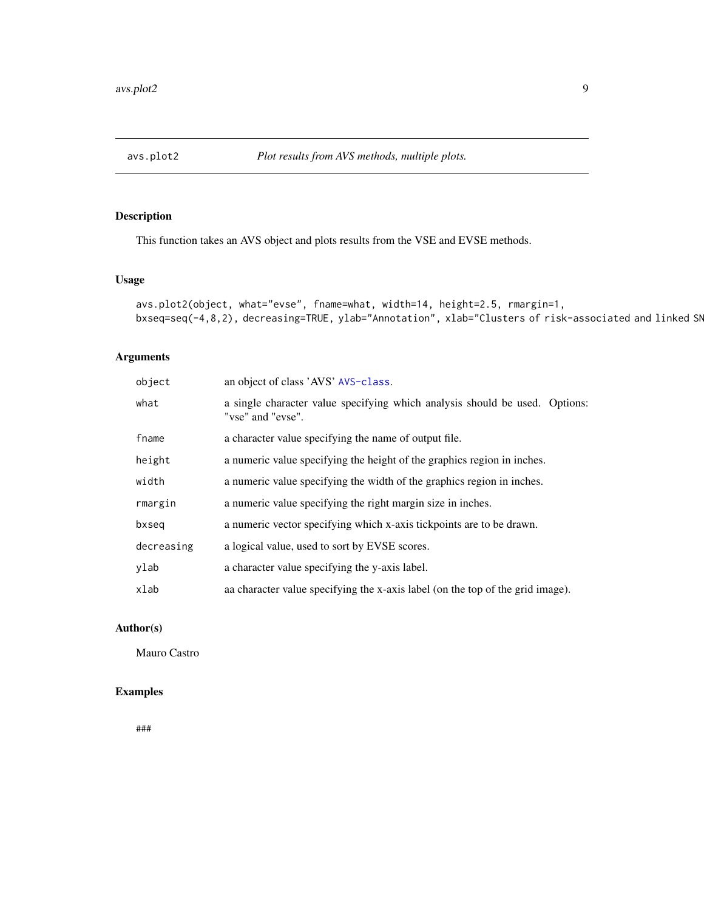<span id="page-8-1"></span><span id="page-8-0"></span>

This function takes an AVS object and plots results from the VSE and EVSE methods.

## Usage

```
avs.plot2(object, what="evse", fname=what, width=14, height=2.5, rmargin=1,
bxseq=seq(-4,8,2), decreasing=TRUE, ylab="Annotation", xlab="Clusters of risk-associated and linked SN
```
## Arguments

| object     | an object of class 'AVS' AVS-class.                                                              |
|------------|--------------------------------------------------------------------------------------------------|
| what       | a single character value specifying which analysis should be used. Options:<br>"vse" and "evse". |
| fname      | a character value specifying the name of output file.                                            |
| height     | a numeric value specifying the height of the graphics region in inches.                          |
| width      | a numeric value specifying the width of the graphics region in inches.                           |
| rmargin    | a numeric value specifying the right margin size in inches.                                      |
| bxseq      | a numeric vector specifying which x-axis tickpoints are to be drawn.                             |
| decreasing | a logical value, used to sort by EVSE scores.                                                    |
| ylab       | a character value specifying the y-axis label.                                                   |
| xlab       | a character value specifying the x-axis label (on the top of the grid image).                    |

#### Author(s)

Mauro Castro

## Examples

###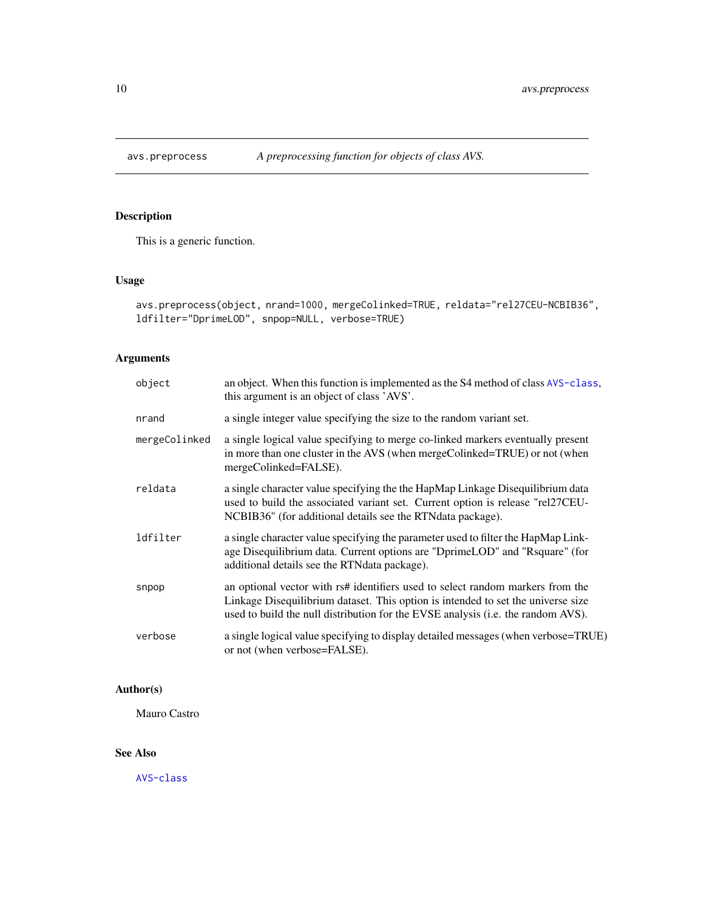<span id="page-9-1"></span><span id="page-9-0"></span>

This is a generic function.

## Usage

```
avs.preprocess(object, nrand=1000, mergeColinked=TRUE, reldata="rel27CEU-NCBIB36",
ldfilter="DprimeLOD", snpop=NULL, verbose=TRUE)
```
## Arguments

| object        | an object. When this function is implemented as the S4 method of class AVS-class,<br>this argument is an object of class 'AVS'.                                                                                                                        |
|---------------|--------------------------------------------------------------------------------------------------------------------------------------------------------------------------------------------------------------------------------------------------------|
| nrand         | a single integer value specifying the size to the random variant set.                                                                                                                                                                                  |
| mergeColinked | a single logical value specifying to merge co-linked markers eventually present<br>in more than one cluster in the AVS (when mergeColinked=TRUE) or not (when<br>mergeColinked=FALSE).                                                                 |
| reldata       | a single character value specifying the the HapMap Linkage Disequilibrium data<br>used to build the associated variant set. Current option is release "rel27CEU-<br>NCBIB36" (for additional details see the RTNdata package).                         |
| ldfilter      | a single character value specifying the parameter used to filter the HapMap Link-<br>age Disequilibrium data. Current options are "DprimeLOD" and "Rsquare" (for<br>additional details see the RTNdata package).                                       |
| snpop         | an optional vector with rs# identifiers used to select random markers from the<br>Linkage Disequilibrium dataset. This option is intended to set the universe size<br>used to build the null distribution for the EVSE analysis (i.e. the random AVS). |
| verbose       | a single logical value specifying to display detailed messages (when verbose=TRUE)<br>or not (when verbose=FALSE).                                                                                                                                     |

## Author(s)

Mauro Castro

## See Also

[AVS-class](#page-3-1)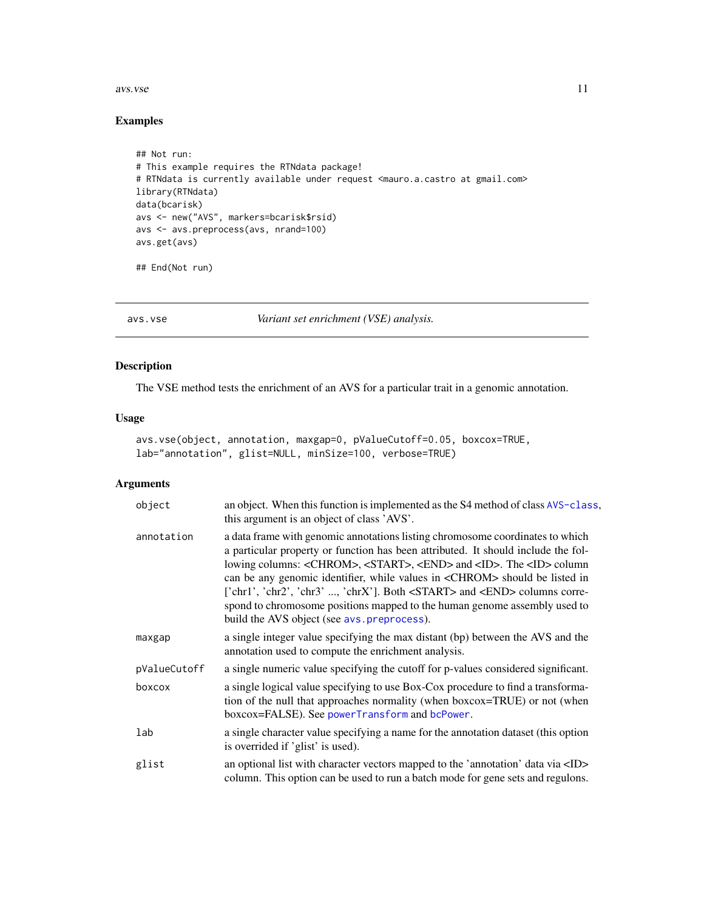#### <span id="page-10-0"></span>avs.vse and the set of the set of the set of the set of the set of the set of the set of the set of the set of the set of the set of the set of the set of the set of the set of the set of the set of the set of the set of t

## Examples

```
## Not run:
# This example requires the RTNdata package!
# RTNdata is currently available under request <mauro.a.castro at gmail.com>
library(RTNdata)
data(bcarisk)
avs <- new("AVS", markers=bcarisk$rsid)
avs <- avs.preprocess(avs, nrand=100)
avs.get(avs)
## End(Not run)
```
<span id="page-10-1"></span>

avs.vse *Variant set enrichment (VSE) analysis.*

## Description

The VSE method tests the enrichment of an AVS for a particular trait in a genomic annotation.

#### Usage

```
avs.vse(object, annotation, maxgap=0, pValueCutoff=0.05, boxcox=TRUE,
lab="annotation", glist=NULL, minSize=100, verbose=TRUE)
```
## Arguments

| object       | an object. When this function is implemented as the S4 method of class AVS-class,<br>this argument is an object of class 'AVS'.                                                                                                                                                                                                                                                                                                                                                                                                                                                         |
|--------------|-----------------------------------------------------------------------------------------------------------------------------------------------------------------------------------------------------------------------------------------------------------------------------------------------------------------------------------------------------------------------------------------------------------------------------------------------------------------------------------------------------------------------------------------------------------------------------------------|
| annotation   | a data frame with genomic annotations listing chromosome coordinates to which<br>a particular property or function has been attributed. It should include the fol-<br>lowing columns: <chrom>, <start>, <end> and <id>. The <id> column<br/>can be any genomic identifier, while values in <chrom> should be listed in<br/>['chr1', 'chr2', 'chr3' , 'chrX']. Both <start> and <end> columns corre-<br/>spond to chromosome positions mapped to the human genome assembly used to<br/>build the AVS object (see avs. preprocess).</end></start></chrom></id></id></end></start></chrom> |
| maxgap       | a single integer value specifying the max distant (bp) between the AVS and the<br>annotation used to compute the enrichment analysis.                                                                                                                                                                                                                                                                                                                                                                                                                                                   |
| pValueCutoff | a single numeric value specifying the cutoff for p-values considered significant.                                                                                                                                                                                                                                                                                                                                                                                                                                                                                                       |
| boxcox       | a single logical value specifying to use Box-Cox procedure to find a transforma-<br>tion of the null that approaches normality (when boxcox=TRUE) or not (when<br>boxcox=FALSE). See powerTransform and bcPower.                                                                                                                                                                                                                                                                                                                                                                        |
| lab          | a single character value specifying a name for the annotation dataset (this option<br>is overrided if 'glist' is used).                                                                                                                                                                                                                                                                                                                                                                                                                                                                 |
| glist        | an optional list with character vectors mapped to the 'annotation' data via <id><br/>column. This option can be used to run a batch mode for gene sets and regulons.</id>                                                                                                                                                                                                                                                                                                                                                                                                               |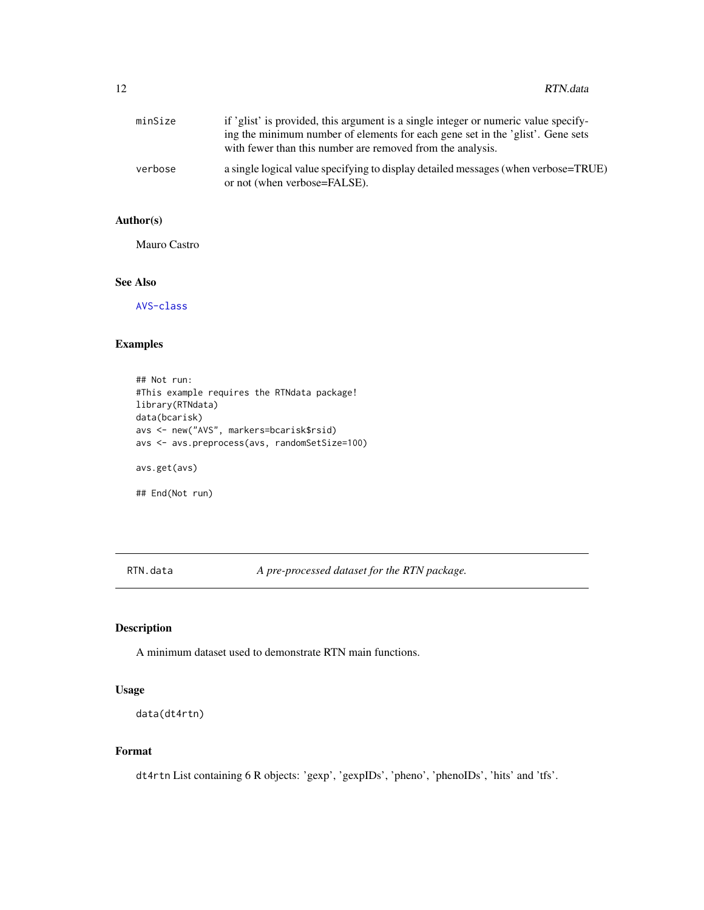<span id="page-11-0"></span>

| minSize | if 'glist' is provided, this argument is a single integer or numeric value specify-<br>ing the minimum number of elements for each gene set in the 'glist'. Gene sets<br>with fewer than this number are removed from the analysis. |
|---------|-------------------------------------------------------------------------------------------------------------------------------------------------------------------------------------------------------------------------------------|
| verbose | a single logical value specifying to display detailed messages (when verbose=TRUE)<br>or not (when verbose=FALSE).                                                                                                                  |

## Author(s)

Mauro Castro

#### See Also

[AVS-class](#page-3-1)

## Examples

```
## Not run:
#This example requires the RTNdata package!
library(RTNdata)
data(bcarisk)
avs <- new("AVS", markers=bcarisk$rsid)
avs <- avs.preprocess(avs, randomSetSize=100)
avs.get(avs)
## End(Not run)
```
RTN.data *A pre-processed dataset for the RTN package.*

## Description

A minimum dataset used to demonstrate RTN main functions.

## Usage

```
data(dt4rtn)
```
## Format

dt4rtn List containing 6 R objects: 'gexp', 'gexpIDs', 'pheno', 'phenoIDs', 'hits' and 'tfs'.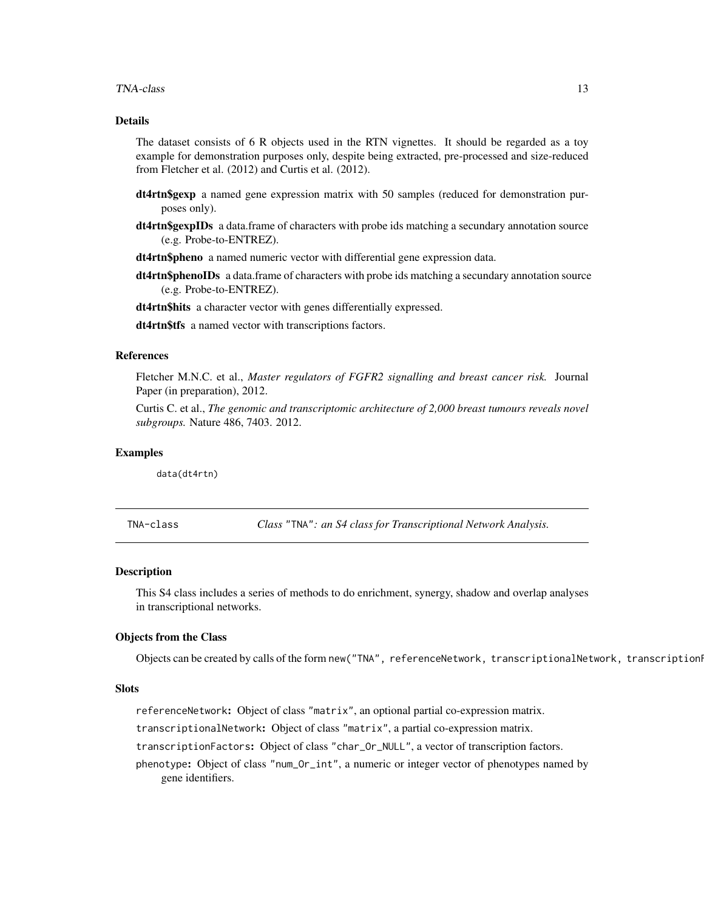#### <span id="page-12-0"></span>TNA-class 13

### Details

The dataset consists of 6 R objects used in the RTN vignettes. It should be regarded as a toy example for demonstration purposes only, despite being extracted, pre-processed and size-reduced from Fletcher et al. (2012) and Curtis et al. (2012).

- dt4rtn\$gexp a named gene expression matrix with 50 samples (reduced for demonstration purposes only).
- dt4rtn\$gexpIDs a data.frame of characters with probe ids matching a secundary annotation source (e.g. Probe-to-ENTREZ).
- dt4rtn\$pheno a named numeric vector with differential gene expression data.
- dt4rtn\$phenoIDs a data.frame of characters with probe ids matching a secundary annotation source (e.g. Probe-to-ENTREZ).
- dt4rtn\$hits a character vector with genes differentially expressed.
- dt4rtn\$tfs a named vector with transcriptions factors.

#### References

Fletcher M.N.C. et al., *Master regulators of FGFR2 signalling and breast cancer risk.* Journal Paper (in preparation), 2012.

Curtis C. et al., *The genomic and transcriptomic architecture of 2,000 breast tumours reveals novel subgroups.* Nature 486, 7403. 2012.

## Examples

data(dt4rtn)

<span id="page-12-1"></span>TNA-class *Class* "TNA"*: an S4 class for Transcriptional Network Analysis.*

#### Description

This S4 class includes a series of methods to do enrichment, synergy, shadow and overlap analyses in transcriptional networks.

## Objects from the Class

Objects can be created by calls of the form new("TNA", referenceNetwork, transcriptionalNetwork, transcription

### **Slots**

referenceNetwork: Object of class "matrix", an optional partial co-expression matrix.

transcriptionalNetwork: Object of class "matrix", a partial co-expression matrix.

transcriptionFactors: Object of class "char\_Or\_NULL", a vector of transcription factors.

phenotype: Object of class "num\_Or\_int", a numeric or integer vector of phenotypes named by gene identifiers.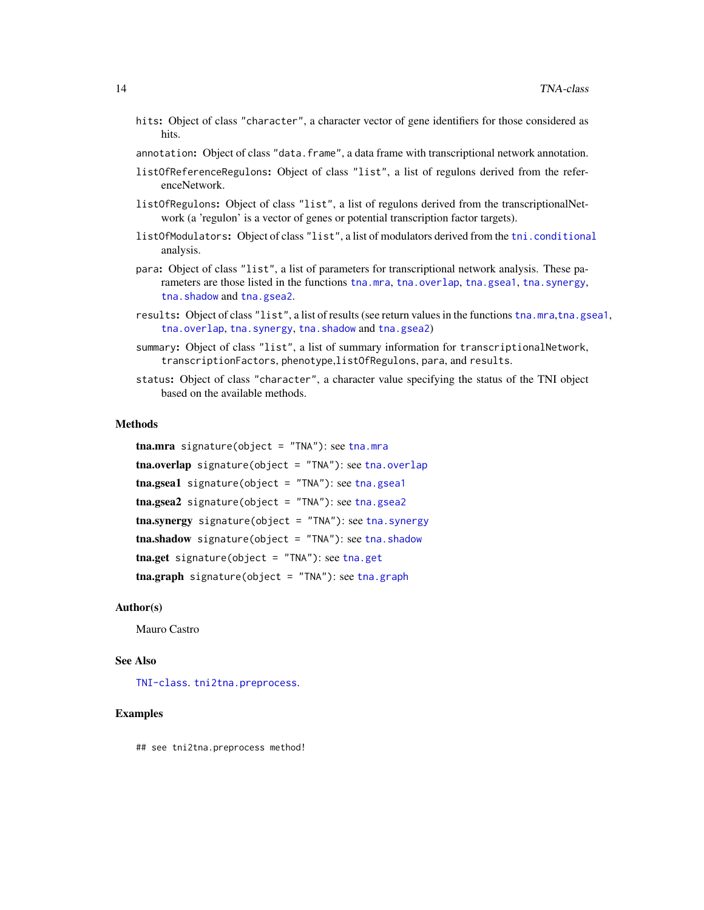- hits: Object of class "character", a character vector of gene identifiers for those considered as hits.
- annotation: Object of class "data.frame", a data frame with transcriptional network annotation.
- listOfReferenceRegulons: Object of class "list", a list of regulons derived from the referenceNetwork.
- listOfRegulons: Object of class "list", a list of regulons derived from the transcriptionalNetwork (a 'regulon' is a vector of genes or potential transcription factor targets).
- listOfModulators: Object of class "list", a list of modulators derived from the [tni.conditional](#page-32-1) analysis.
- para: Object of class "list", a list of parameters for transcriptional network analysis. These parameters are those listed in the functions [tna.mra](#page-20-1), [tna.overlap](#page-21-1), [tna.gsea1](#page-17-1), [tna.synergy](#page-28-1), [tna.shadow](#page-26-1) and [tna.gsea2](#page-18-1).
- results: Object of class "list", a list of results (see return values in the functions [tna.mra](#page-20-1),[tna.gsea1](#page-17-1), [tna.overlap](#page-21-1), [tna.synergy](#page-28-1), [tna.shadow](#page-26-1) and [tna.gsea2](#page-18-1))
- summary: Object of class "list", a list of summary information for transcriptionalNetwork, transcriptionFactors, phenotype,listOfRegulons, para, and results.
- status: Object of class "character", a character value specifying the status of the TNI object based on the available methods.

#### Methods

 ${\sf tna.mra}$  ${\sf tna.mra}$  ${\sf tna.mra}$  signature(object = "TNA"): see  ${\sf tna.mra}$ tna.overlap signature(object = "TNA"): see [tna.overlap](#page-21-1) [tna.gsea1](#page-17-1) signature(object = "TNA"): see tna.gsea1  $\text{tna.gsea2}$  $\text{tna.gsea2}$  $\text{tna.gsea2}$  signature(object = "TNA"): see tna.gsea2 tna.synergy signature(object = "TNA"): see [tna.synergy](#page-28-1)  $\text{tna.shadow signature}(\text{object} = \text{"TNA"}): \text{see } \text{tna.shadow}$  $\text{tna.shadow signature}(\text{object} = \text{"TNA"}): \text{see } \text{tna.shadow}$  $\text{tna.shadow signature}(\text{object} = \text{"TNA"}): \text{see } \text{tna.shadow}$ tna.get signature(object = "TNA"): see [tna.get](#page-14-1)  $\text{tra.graph}$  signature(object = "TNA"): see [tna.graph](#page-15-1)

#### Author(s)

Mauro Castro

#### See Also

[TNI-class](#page-30-1). [tni2tna.preprocess](#page-42-1).

#### Examples

## see tni2tna.preprocess method!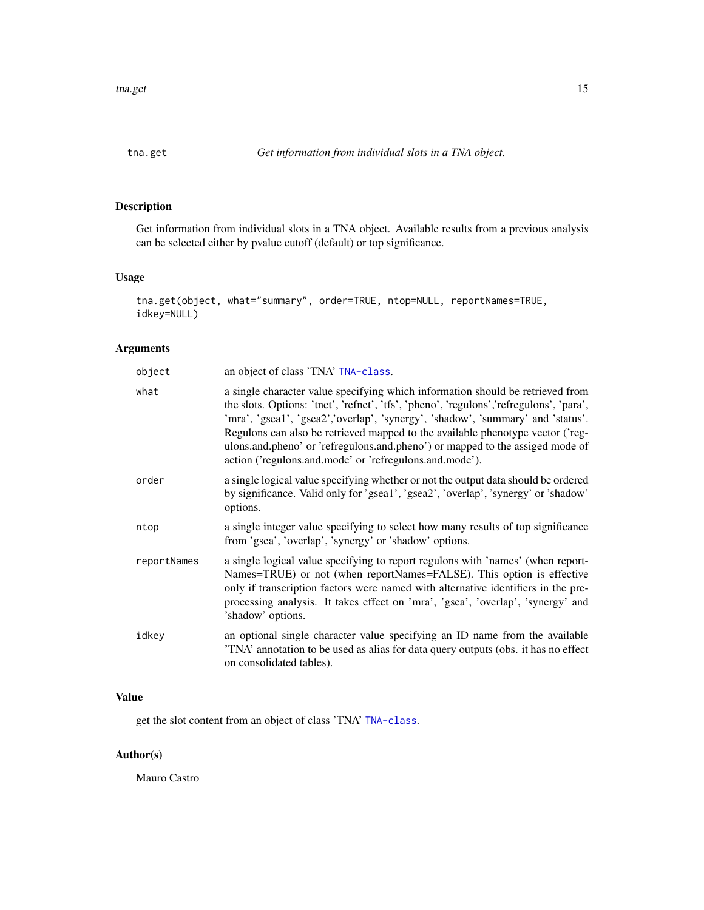<span id="page-14-1"></span><span id="page-14-0"></span>

Get information from individual slots in a TNA object. Available results from a previous analysis can be selected either by pvalue cutoff (default) or top significance.

## Usage

```
tna.get(object, what="summary", order=TRUE, ntop=NULL, reportNames=TRUE,
idkey=NULL)
```
## Arguments

| an object of class 'TNA' TNA-class.                                                                                                                                                                                                                                                                                                                                                                                                                                                        |
|--------------------------------------------------------------------------------------------------------------------------------------------------------------------------------------------------------------------------------------------------------------------------------------------------------------------------------------------------------------------------------------------------------------------------------------------------------------------------------------------|
| a single character value specifying which information should be retrieved from<br>the slots. Options: 'tnet', 'refnet', 'tfs', 'pheno', 'regulons','refregulons', 'para',<br>'mra', 'gsea1', 'gsea2','overlap', 'synergy', 'shadow', 'summary' and 'status'.<br>Regulons can also be retrieved mapped to the available phenotype vector ('reg-<br>ulons.and.pheno' or 'refregulons.and.pheno') or mapped to the assiged mode of<br>action ('regulons.and.mode' or 'refregulons.and.mode'). |
| a single logical value specifying whether or not the output data should be ordered<br>by significance. Valid only for 'gsea1', 'gsea2', 'overlap', 'synergy' or 'shadow'<br>options.                                                                                                                                                                                                                                                                                                       |
| a single integer value specifying to select how many results of top significance<br>from 'gsea', 'overlap', 'synergy' or 'shadow' options.                                                                                                                                                                                                                                                                                                                                                 |
| a single logical value specifying to report regulons with 'names' (when report-<br>Names=TRUE) or not (when reportNames=FALSE). This option is effective<br>only if transcription factors were named with alternative identifiers in the pre-<br>processing analysis. It takes effect on 'mra', 'gsea', 'overlap', 'synergy' and<br>'shadow' options.                                                                                                                                      |
| an optional single character value specifying an ID name from the available<br>'TNA' annotation to be used as alias for data query outputs (obs. it has no effect<br>on consolidated tables).                                                                                                                                                                                                                                                                                              |
|                                                                                                                                                                                                                                                                                                                                                                                                                                                                                            |

## Value

get the slot content from an object of class 'TNA' [TNA-class](#page-12-1).

#### Author(s)

Mauro Castro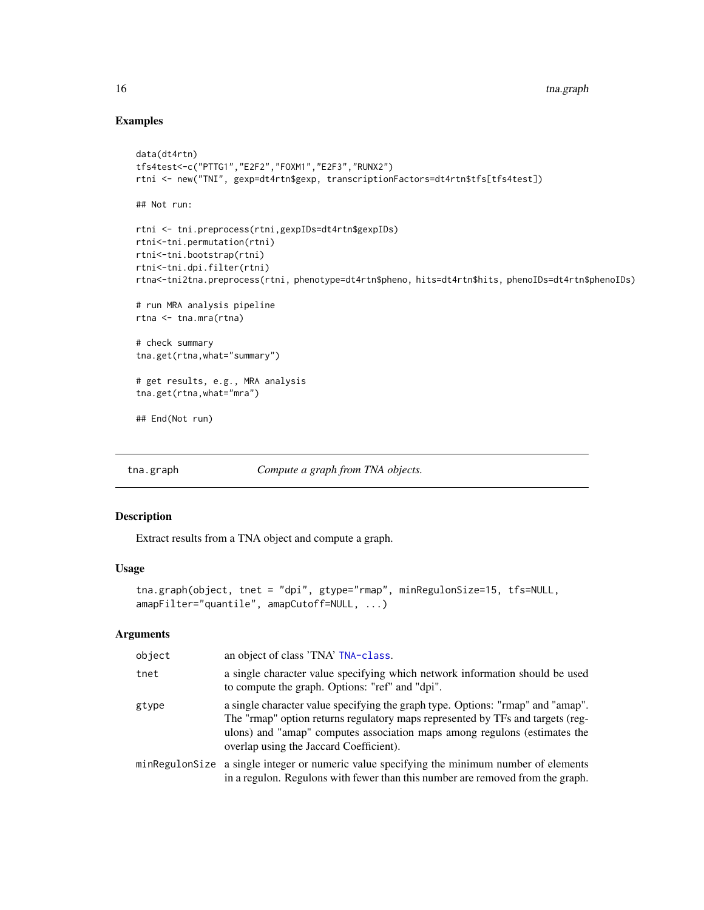## Examples

```
data(dt4rtn)
tfs4test<-c("PTTG1","E2F2","FOXM1","E2F3","RUNX2")
rtni <- new("TNI", gexp=dt4rtn$gexp, transcriptionFactors=dt4rtn$tfs[tfs4test])
## Not run:
rtni <- tni.preprocess(rtni,gexpIDs=dt4rtn$gexpIDs)
rtni<-tni.permutation(rtni)
rtni<-tni.bootstrap(rtni)
rtni<-tni.dpi.filter(rtni)
rtna<-tni2tna.preprocess(rtni, phenotype=dt4rtn$pheno, hits=dt4rtn$hits, phenoIDs=dt4rtn$phenoIDs)
# run MRA analysis pipeline
rtna <- tna.mra(rtna)
# check summary
tna.get(rtna,what="summary")
# get results, e.g., MRA analysis
tna.get(rtna,what="mra")
## End(Not run)
```
<span id="page-15-1"></span>

tna.graph *Compute a graph from TNA objects.*

#### Description

Extract results from a TNA object and compute a graph.

## Usage

```
tna.graph(object, tnet = "dpi", gtype="rmap", minRegulonSize=15, tfs=NULL,
amapFilter="quantile", amapCutoff=NULL, ...)
```
#### Arguments

| object | an object of class 'TNA' TNA-class.                                                                                                                                                                                                                                                       |
|--------|-------------------------------------------------------------------------------------------------------------------------------------------------------------------------------------------------------------------------------------------------------------------------------------------|
| tnet   | a single character value specifying which network information should be used<br>to compute the graph. Options: "ref" and "dpi".                                                                                                                                                           |
| gtype  | a single character value specifying the graph type. Options: "rmap" and "amap".<br>The "rmap" option returns regulatory maps represented by TFs and targets (reg-<br>ulons) and "amap" computes association maps among regulons (estimates the<br>overlap using the Jaccard Coefficient). |
|        | minRegulonSize a single integer or numeric value specifying the minimum number of elements<br>in a regulon. Regulons with fewer than this number are removed from the graph.                                                                                                              |

<span id="page-15-0"></span>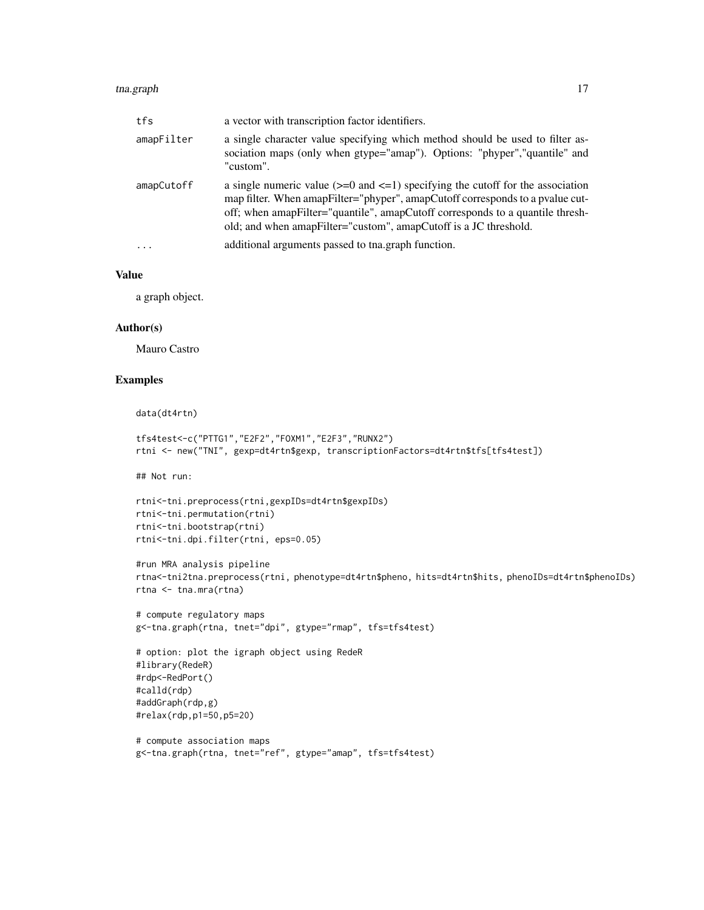#### tna.graph 17

| tfs        | a vector with transcription factor identifiers.                                                                                                                                                                                                                                                                           |
|------------|---------------------------------------------------------------------------------------------------------------------------------------------------------------------------------------------------------------------------------------------------------------------------------------------------------------------------|
| amapFilter | a single character value specifying which method should be used to filter as-<br>sociation maps (only when gtype="amap"). Options: "phyper","quantile" and<br>"custom".                                                                                                                                                   |
| amapCutoff | a single numeric value $(>=0$ and $<=1$ ) specifying the cutoff for the association<br>map filter. When amapFilter="phyper", amapCutoff corresponds to a pvalue cut-<br>off; when amapFilter="quantile", amapCutoff corresponds to a quantile thresh-<br>old; and when amapFilter="custom", amapCutoff is a JC threshold. |
| $\ddots$   | additional arguments passed to the graph function.                                                                                                                                                                                                                                                                        |

## Value

a graph object.

#### Author(s)

Mauro Castro

## Examples

data(dt4rtn)

```
tfs4test<-c("PTTG1","E2F2","FOXM1","E2F3","RUNX2")
rtni <- new("TNI", gexp=dt4rtn$gexp, transcriptionFactors=dt4rtn$tfs[tfs4test])
```
## Not run:

```
rtni<-tni.preprocess(rtni,gexpIDs=dt4rtn$gexpIDs)
rtni<-tni.permutation(rtni)
rtni<-tni.bootstrap(rtni)
rtni<-tni.dpi.filter(rtni, eps=0.05)
```

```
#run MRA analysis pipeline
rtna<-tni2tna.preprocess(rtni, phenotype=dt4rtn$pheno, hits=dt4rtn$hits, phenoIDs=dt4rtn$phenoIDs)
rtna <- tna.mra(rtna)
```

```
# compute regulatory maps
g<-tna.graph(rtna, tnet="dpi", gtype="rmap", tfs=tfs4test)
```

```
# option: plot the igraph object using RedeR
#library(RedeR)
#rdp<-RedPort()
#calld(rdp)
#addGraph(rdp,g)
#relax(rdp,p1=50,p5=20)
```

```
# compute association maps
g<-tna.graph(rtna, tnet="ref", gtype="amap", tfs=tfs4test)
```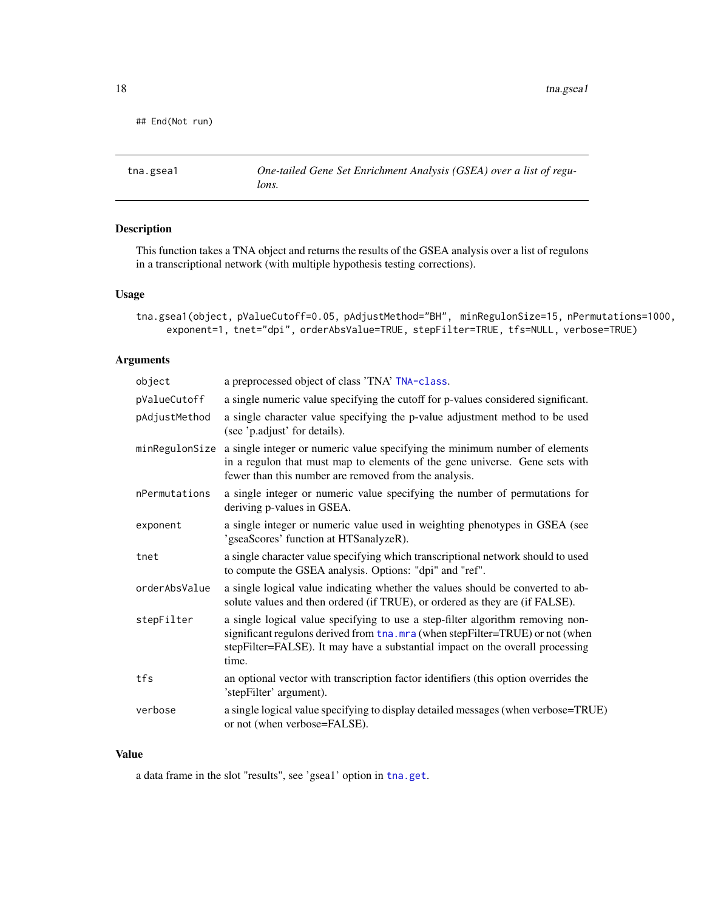<span id="page-17-0"></span>18 tna.gsea1

```
## End(Not run)
```
<span id="page-17-1"></span>tna.gsea1 *One-tailed Gene Set Enrichment Analysis (GSEA) over a list of regulons.*

## Description

This function takes a TNA object and returns the results of the GSEA analysis over a list of regulons in a transcriptional network (with multiple hypothesis testing corrections).

#### Usage

```
tna.gsea1(object, pValueCutoff=0.05, pAdjustMethod="BH", minRegulonSize=15, nPermutations=1000,
     exponent=1, tnet="dpi", orderAbsValue=TRUE, stepFilter=TRUE, tfs=NULL, verbose=TRUE)
```
## Arguments

| object         | a preprocessed object of class 'TNA' TNA-class.                                                                                                                                                                                                           |
|----------------|-----------------------------------------------------------------------------------------------------------------------------------------------------------------------------------------------------------------------------------------------------------|
| pValueCutoff   | a single numeric value specifying the cutoff for p-values considered significant.                                                                                                                                                                         |
| pAdjustMethod  | a single character value specifying the p-value adjustment method to be used<br>(see 'p.adjust' for details).                                                                                                                                             |
| minRegulonSize | a single integer or numeric value specifying the minimum number of elements<br>in a regulon that must map to elements of the gene universe. Gene sets with<br>fewer than this number are removed from the analysis.                                       |
| nPermutations  | a single integer or numeric value specifying the number of permutations for<br>deriving p-values in GSEA.                                                                                                                                                 |
| exponent       | a single integer or numeric value used in weighting phenotypes in GSEA (see<br>'gseaScores' function at HTSanalyzeR).                                                                                                                                     |
| tnet           | a single character value specifying which transcriptional network should to used<br>to compute the GSEA analysis. Options: "dpi" and "ref".                                                                                                               |
| orderAbsValue  | a single logical value indicating whether the values should be converted to ab-<br>solute values and then ordered (if TRUE), or ordered as they are (if FALSE).                                                                                           |
| stepFilter     | a single logical value specifying to use a step-filter algorithm removing non-<br>significant regulons derived from tha.mra (when stepFilter=TRUE) or not (when<br>stepFilter=FALSE). It may have a substantial impact on the overall processing<br>time. |
| tfs            | an optional vector with transcription factor identifiers (this option overrides the<br>'stepFilter' argument).                                                                                                                                            |
| verbose        | a single logical value specifying to display detailed messages (when verbose=TRUE)<br>or not (when verbose=FALSE).                                                                                                                                        |

## Value

a data frame in the slot "results", see 'gsea1' option in [tna.get](#page-14-1).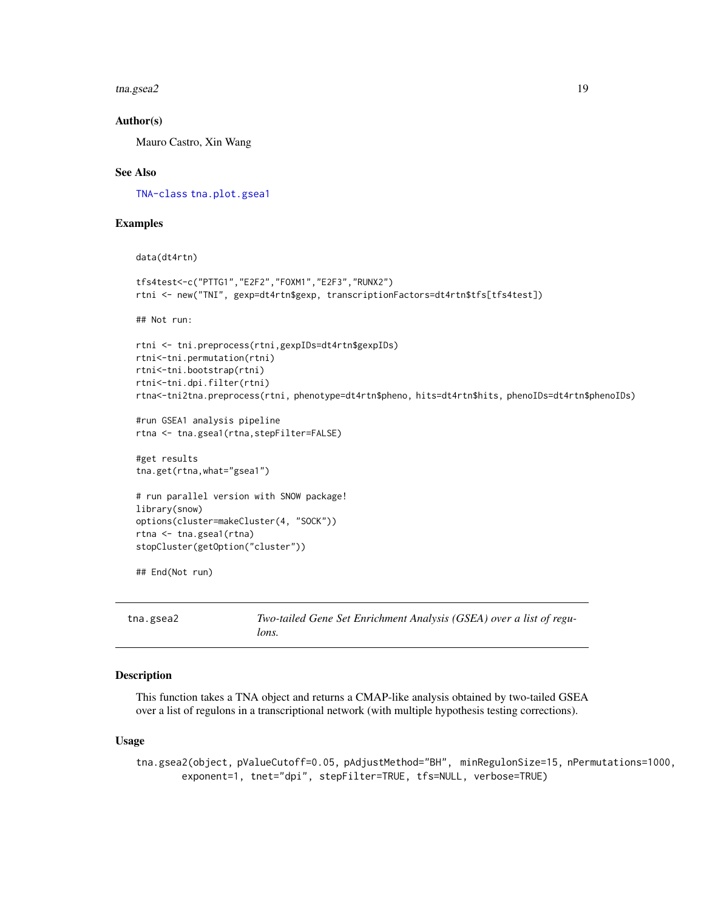<span id="page-18-0"></span>tna.gsea2 19

#### Author(s)

Mauro Castro, Xin Wang

#### See Also

[TNA-class](#page-12-1) [tna.plot.gsea1](#page-23-1)

#### Examples

```
data(dt4rtn)
tfs4test<-c("PTTG1","E2F2","FOXM1","E2F3","RUNX2")
rtni <- new("TNI", gexp=dt4rtn$gexp, transcriptionFactors=dt4rtn$tfs[tfs4test])
## Not run:
rtni <- tni.preprocess(rtni,gexpIDs=dt4rtn$gexpIDs)
rtni<-tni.permutation(rtni)
rtni<-tni.bootstrap(rtni)
rtni<-tni.dpi.filter(rtni)
rtna<-tni2tna.preprocess(rtni, phenotype=dt4rtn$pheno, hits=dt4rtn$hits, phenoIDs=dt4rtn$phenoIDs)
#run GSEA1 analysis pipeline
rtna <- tna.gsea1(rtna,stepFilter=FALSE)
#get results
tna.get(rtna,what="gsea1")
# run parallel version with SNOW package!
library(snow)
options(cluster=makeCluster(4, "SOCK"))
rtna <- tna.gsea1(rtna)
stopCluster(getOption("cluster"))
## End(Not run)
```
<span id="page-18-1"></span>tna.gsea2 *Two-tailed Gene Set Enrichment Analysis (GSEA) over a list of regulons.*

### **Description**

This function takes a TNA object and returns a CMAP-like analysis obtained by two-tailed GSEA over a list of regulons in a transcriptional network (with multiple hypothesis testing corrections).

#### Usage

tna.gsea2(object, pValueCutoff=0.05, pAdjustMethod="BH", minRegulonSize=15, nPermutations=1000, exponent=1, tnet="dpi", stepFilter=TRUE, tfs=NULL, verbose=TRUE)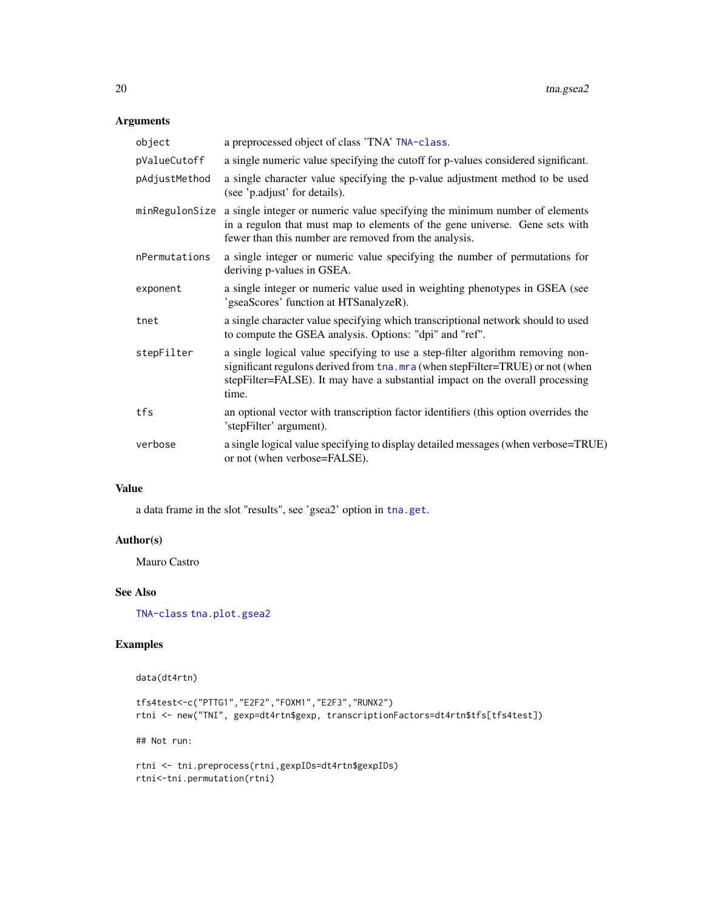## Arguments

| object         | a preprocessed object of class 'TNA' TNA-class.                                                                                                                                                                                                           |
|----------------|-----------------------------------------------------------------------------------------------------------------------------------------------------------------------------------------------------------------------------------------------------------|
| pValueCutoff   | a single numeric value specifying the cutoff for p-values considered significant.                                                                                                                                                                         |
| pAdjustMethod  | a single character value specifying the p-value adjustment method to be used<br>(see 'p.adjust' for details).                                                                                                                                             |
| minRegulonSize | a single integer or numeric value specifying the minimum number of elements<br>in a regulon that must map to elements of the gene universe. Gene sets with<br>fewer than this number are removed from the analysis.                                       |
| nPermutations  | a single integer or numeric value specifying the number of permutations for<br>deriving p-values in GSEA.                                                                                                                                                 |
| exponent       | a single integer or numeric value used in weighting phenotypes in GSEA (see<br>'gseaScores' function at HTSanalyzeR).                                                                                                                                     |
| tnet           | a single character value specifying which transcriptional network should to used<br>to compute the GSEA analysis. Options: "dpi" and "ref".                                                                                                               |
| stepFilter     | a single logical value specifying to use a step-filter algorithm removing non-<br>significant regulons derived from tha.mra (when stepFilter=TRUE) or not (when<br>stepFilter=FALSE). It may have a substantial impact on the overall processing<br>time. |
| tfs            | an optional vector with transcription factor identifiers (this option overrides the<br>'stepFilter' argument).                                                                                                                                            |
| verbose        | a single logical value specifying to display detailed messages (when verbose=TRUE)<br>or not (when verbose=FALSE).                                                                                                                                        |

#### Value

a data frame in the slot "results", see 'gsea2' option in [tna.get](#page-14-1).

#### Author(s)

Mauro Castro

## See Also

[TNA-class](#page-12-1) [tna.plot.gsea2](#page-24-1)

## Examples

data(dt4rtn)

```
tfs4test<-c("PTTG1","E2F2","FOXM1","E2F3","RUNX2")
rtni <- new("TNI", gexp=dt4rtn$gexp, transcriptionFactors=dt4rtn$tfs[tfs4test])
```
## Not run:

rtni <- tni.preprocess(rtni,gexpIDs=dt4rtn\$gexpIDs) rtni<-tni.permutation(rtni)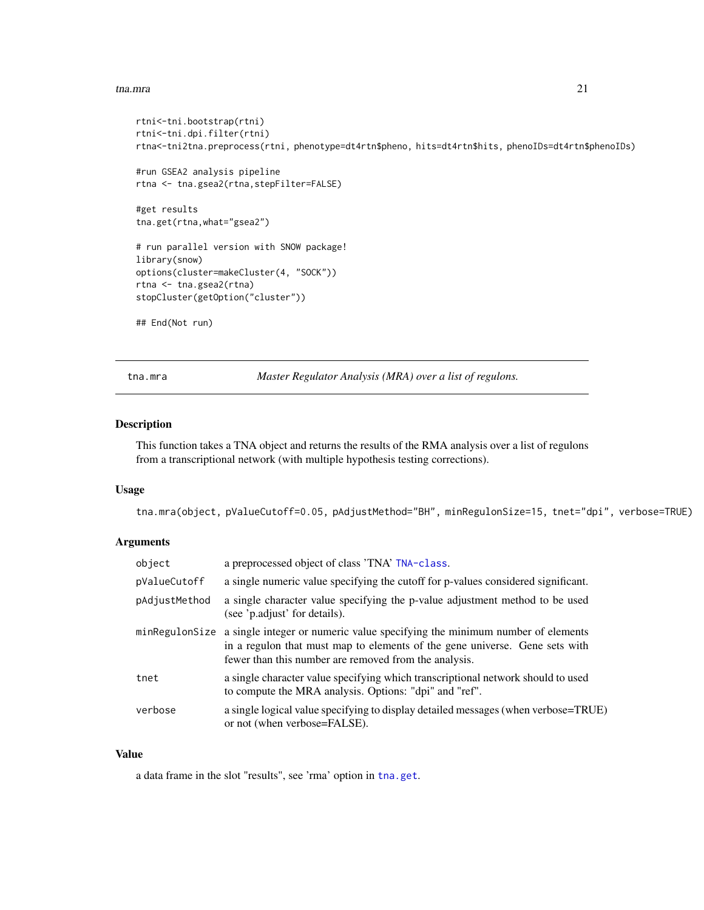#### <span id="page-20-0"></span>tna.mra 21

```
rtni<-tni.bootstrap(rtni)
rtni<-tni.dpi.filter(rtni)
rtna<-tni2tna.preprocess(rtni, phenotype=dt4rtn$pheno, hits=dt4rtn$hits, phenoIDs=dt4rtn$phenoIDs)
#run GSEA2 analysis pipeline
rtna <- tna.gsea2(rtna,stepFilter=FALSE)
#get results
tna.get(rtna,what="gsea2")
# run parallel version with SNOW package!
library(snow)
options(cluster=makeCluster(4, "SOCK"))
rtna <- tna.gsea2(rtna)
stopCluster(getOption("cluster"))
## End(Not run)
```
<span id="page-20-1"></span>tna.mra *Master Regulator Analysis (MRA) over a list of regulons.*

## Description

This function takes a TNA object and returns the results of the RMA analysis over a list of regulons from a transcriptional network (with multiple hypothesis testing corrections).

#### Usage

tna.mra(object, pValueCutoff=0.05, pAdjustMethod="BH", minRegulonSize=15, tnet="dpi", verbose=TRUE)

#### Arguments

| object         | a preprocessed object of class 'TNA' TNA-class.                                                                                                                                                                     |
|----------------|---------------------------------------------------------------------------------------------------------------------------------------------------------------------------------------------------------------------|
| pValueCutoff   | a single numeric value specifying the cutoff for p-values considered significant.                                                                                                                                   |
| pAdjustMethod  | a single character value specifying the p-value adjustment method to be used<br>(see 'p.adjust' for details).                                                                                                       |
| minRegulonSize | a single integer or numeric value specifying the minimum number of elements<br>in a regulon that must map to elements of the gene universe. Gene sets with<br>fewer than this number are removed from the analysis. |
| tnet           | a single character value specifying which transcriptional network should to used<br>to compute the MRA analysis. Options: "dpi" and "ref".                                                                          |
| verbose        | a single logical value specifying to display detailed messages (when verbose=TRUE)<br>or not (when verbose=FALSE).                                                                                                  |

#### Value

a data frame in the slot "results", see 'rma' option in [tna.get](#page-14-1).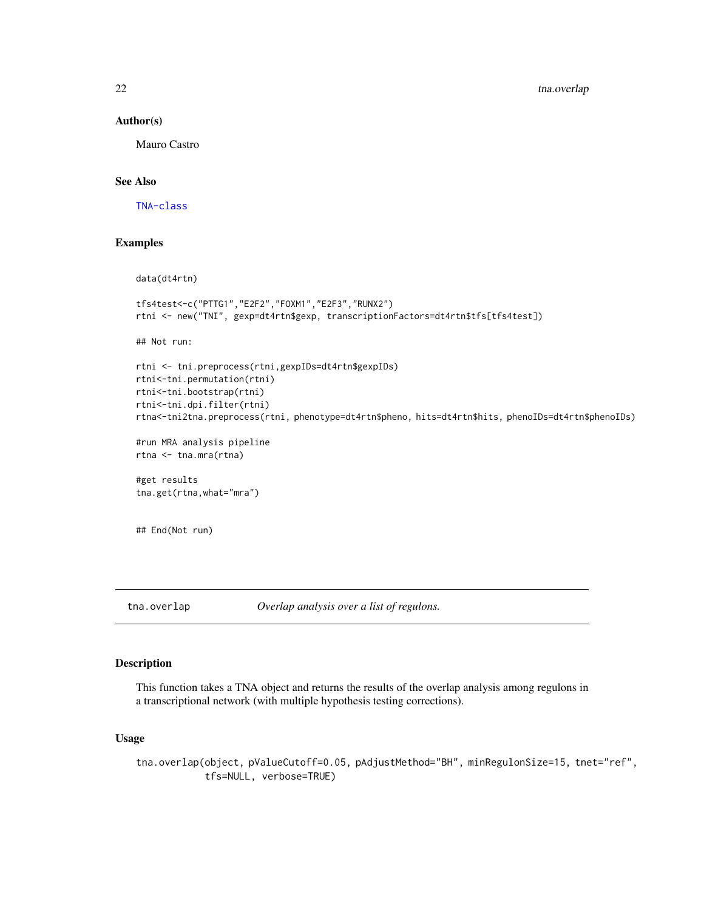#### Author(s)

Mauro Castro

#### See Also

[TNA-class](#page-12-1)

#### Examples

```
data(dt4rtn)
tfs4test<-c("PTTG1","E2F2","FOXM1","E2F3","RUNX2")
rtni <- new("TNI", gexp=dt4rtn$gexp, transcriptionFactors=dt4rtn$tfs[tfs4test])
## Not run:
rtni <- tni.preprocess(rtni,gexpIDs=dt4rtn$gexpIDs)
rtni<-tni.permutation(rtni)
rtni<-tni.bootstrap(rtni)
rtni<-tni.dpi.filter(rtni)
rtna<-tni2tna.preprocess(rtni, phenotype=dt4rtn$pheno, hits=dt4rtn$hits, phenoIDs=dt4rtn$phenoIDs)
#run MRA analysis pipeline
rtna <- tna.mra(rtna)
#get results
```

```
tna.get(rtna,what="mra")
```

```
## End(Not run)
```
<span id="page-21-1"></span>tna.overlap *Overlap analysis over a list of regulons.*

## Description

This function takes a TNA object and returns the results of the overlap analysis among regulons in a transcriptional network (with multiple hypothesis testing corrections).

#### Usage

```
tna.overlap(object, pValueCutoff=0.05, pAdjustMethod="BH", minRegulonSize=15, tnet="ref",
            tfs=NULL, verbose=TRUE)
```
<span id="page-21-0"></span>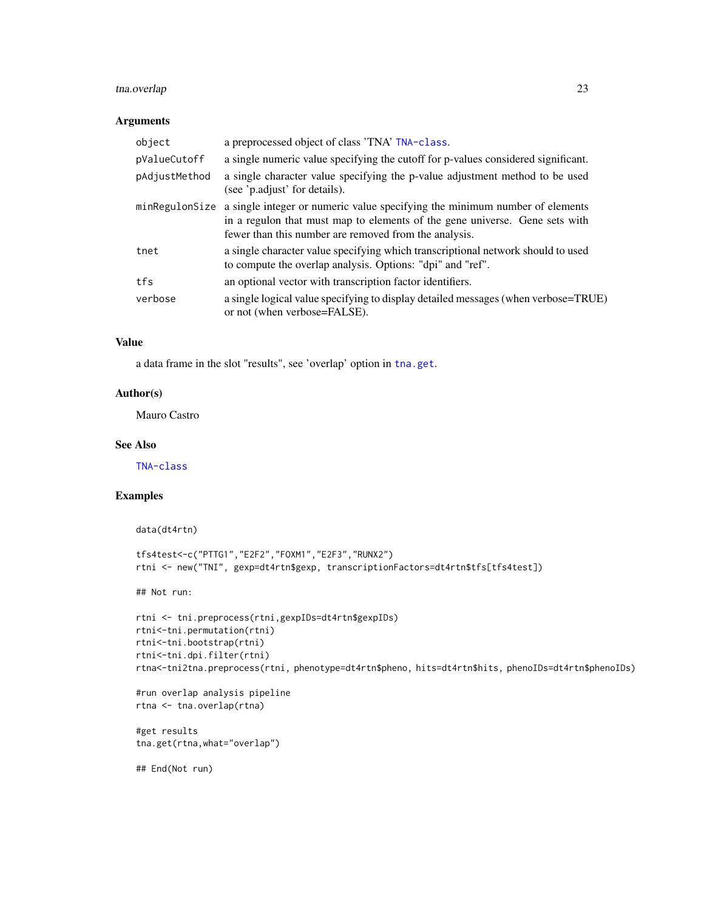## tna.overlap 23

#### Arguments

| object         | a preprocessed object of class 'TNA' TNA-class.                                                                                                                                                                     |
|----------------|---------------------------------------------------------------------------------------------------------------------------------------------------------------------------------------------------------------------|
| pValueCutoff   | a single numeric value specifying the cutoff for p-values considered significant.                                                                                                                                   |
| pAdjustMethod  | a single character value specifying the p-value adjustment method to be used<br>(see 'p.adjust' for details).                                                                                                       |
| minRegulonSize | a single integer or numeric value specifying the minimum number of elements<br>in a regulon that must map to elements of the gene universe. Gene sets with<br>fewer than this number are removed from the analysis. |
| tnet           | a single character value specifying which transcriptional network should to used<br>to compute the overlap analysis. Options: "dpi" and "ref".                                                                      |
| tfs            | an optional vector with transcription factor identifiers.                                                                                                                                                           |
| verbose        | a single logical value specifying to display detailed messages (when verbose=TRUE)<br>or not (when verbose=FALSE).                                                                                                  |

## Value

a data frame in the slot "results", see 'overlap' option in [tna.get](#page-14-1).

#### Author(s)

Mauro Castro

## See Also

[TNA-class](#page-12-1)

## Examples

```
data(dt4rtn)
```

```
tfs4test<-c("PTTG1","E2F2","FOXM1","E2F3","RUNX2")
rtni <- new("TNI", gexp=dt4rtn$gexp, transcriptionFactors=dt4rtn$tfs[tfs4test])
```
## Not run:

```
rtni <- tni.preprocess(rtni,gexpIDs=dt4rtn$gexpIDs)
rtni<-tni.permutation(rtni)
rtni<-tni.bootstrap(rtni)
rtni<-tni.dpi.filter(rtni)
rtna<-tni2tna.preprocess(rtni, phenotype=dt4rtn$pheno, hits=dt4rtn$hits, phenoIDs=dt4rtn$phenoIDs)
```

```
#run overlap analysis pipeline
rtna <- tna.overlap(rtna)
```

```
#get results
tna.get(rtna,what="overlap")
```
## End(Not run)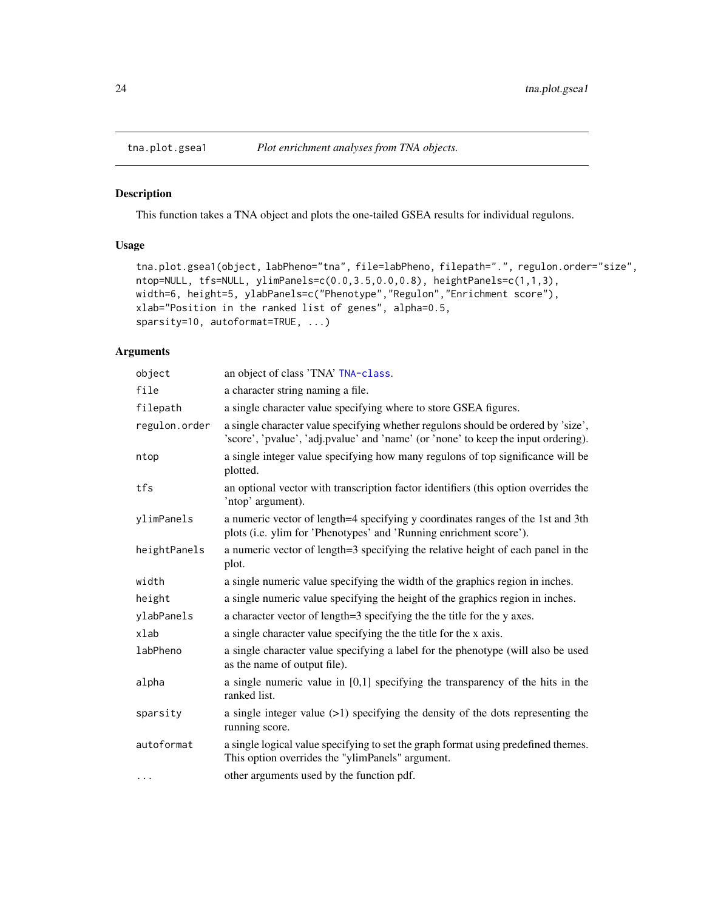<span id="page-23-1"></span><span id="page-23-0"></span>

This function takes a TNA object and plots the one-tailed GSEA results for individual regulons.

## Usage

```
tna.plot.gsea1(object, labPheno="tna", file=labPheno, filepath=".", regulon.order="size",
ntop=NULL, tfs=NULL, ylimPanels=c(0.0,3.5,0.0,0.8), heightPanels=c(1,1,3),
width=6, height=5, ylabPanels=c("Phenotype","Regulon","Enrichment score"),
xlab="Position in the ranked list of genes", alpha=0.5,
sparsity=10, autoformat=TRUE, ...)
```
#### Arguments

| object        | an object of class 'TNA' TNA-class.                                                                                                                                     |
|---------------|-------------------------------------------------------------------------------------------------------------------------------------------------------------------------|
| file          | a character string naming a file.                                                                                                                                       |
| filepath      | a single character value specifying where to store GSEA figures.                                                                                                        |
| regulon.order | a single character value specifying whether regulons should be ordered by 'size',<br>'score', 'pvalue', 'adj.pvalue' and 'name' (or 'none' to keep the input ordering). |
| ntop          | a single integer value specifying how many regulons of top significance will be<br>plotted.                                                                             |
| tfs           | an optional vector with transcription factor identifiers (this option overrides the<br>'ntop' argument).                                                                |
| ylimPanels    | a numeric vector of length=4 specifying y coordinates ranges of the 1st and 3th<br>plots (i.e. ylim for 'Phenotypes' and 'Running enrichment score').                   |
| heightPanels  | a numeric vector of length=3 specifying the relative height of each panel in the<br>plot.                                                                               |
| width         | a single numeric value specifying the width of the graphics region in inches.                                                                                           |
| height        | a single numeric value specifying the height of the graphics region in inches.                                                                                          |
| ylabPanels    | a character vector of length=3 specifying the the title for the y axes.                                                                                                 |
| xlab          | a single character value specifying the the title for the x axis.                                                                                                       |
| labPheno      | a single character value specifying a label for the phenotype (will also be used<br>as the name of output file).                                                        |
| alpha         | a single numeric value in $[0,1]$ specifying the transparency of the hits in the<br>ranked list.                                                                        |
| sparsity      | a single integer value $(>1)$ specifying the density of the dots representing the<br>running score.                                                                     |
| autoformat    | a single logical value specifying to set the graph format using predefined themes.<br>This option overrides the "ylimPanels" argument.                                  |
| $\cdots$      | other arguments used by the function pdf.                                                                                                                               |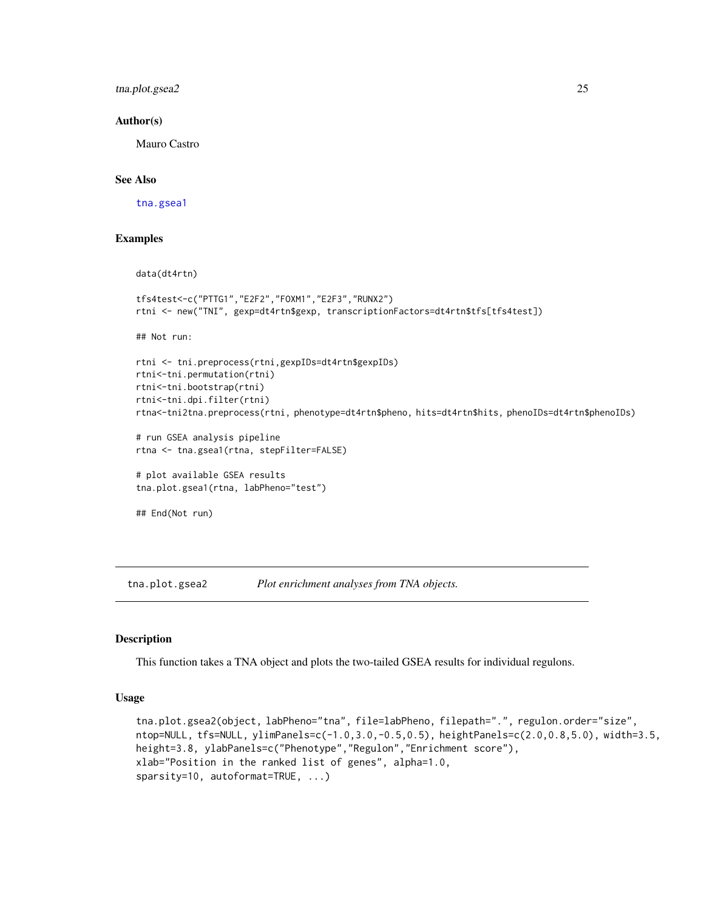<span id="page-24-0"></span>tna.plot.gsea2 25

#### Author(s)

Mauro Castro

## See Also

[tna.gsea1](#page-17-1)

#### Examples

```
data(dt4rtn)
tfs4test<-c("PTTG1","E2F2","FOXM1","E2F3","RUNX2")
rtni <- new("TNI", gexp=dt4rtn$gexp, transcriptionFactors=dt4rtn$tfs[tfs4test])
## Not run:
rtni <- tni.preprocess(rtni,gexpIDs=dt4rtn$gexpIDs)
rtni<-tni.permutation(rtni)
rtni<-tni.bootstrap(rtni)
rtni<-tni.dpi.filter(rtni)
rtna<-tni2tna.preprocess(rtni, phenotype=dt4rtn$pheno, hits=dt4rtn$hits, phenoIDs=dt4rtn$phenoIDs)
# run GSEA analysis pipeline
rtna <- tna.gsea1(rtna, stepFilter=FALSE)
# plot available GSEA results
tna.plot.gsea1(rtna, labPheno="test")
## End(Not run)
```
<span id="page-24-1"></span>tna.plot.gsea2 *Plot enrichment analyses from TNA objects.*

#### Description

This function takes a TNA object and plots the two-tailed GSEA results for individual regulons.

#### Usage

```
tna.plot.gsea2(object, labPheno="tna", file=labPheno, filepath=".", regulon.order="size",
ntop=NULL, tfs=NULL, ylimPanels=c(-1.0,3.0,-0.5,0.5), heightPanels=c(2.0,0.8,5.0), width=3.5,
height=3.8, ylabPanels=c("Phenotype","Regulon","Enrichment score"),
xlab="Position in the ranked list of genes", alpha=1.0,
sparsity=10, autoformat=TRUE, ...)
```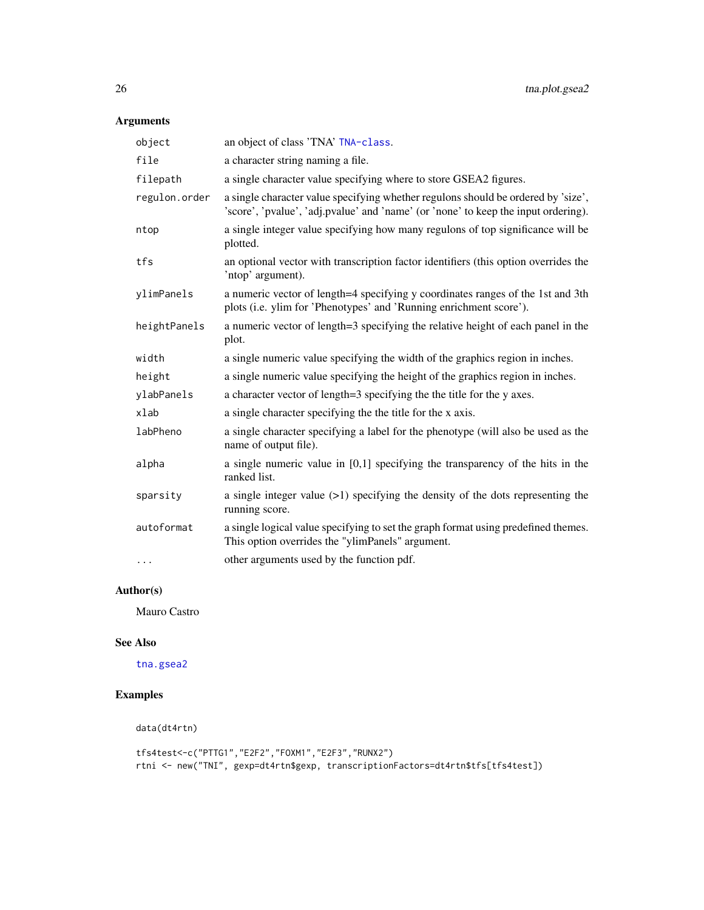## Arguments

| object        | an object of class 'TNA' TNA-class.                                                                                                                                     |
|---------------|-------------------------------------------------------------------------------------------------------------------------------------------------------------------------|
| file          | a character string naming a file.                                                                                                                                       |
| filepath      | a single character value specifying where to store GSEA2 figures.                                                                                                       |
| regulon.order | a single character value specifying whether regulons should be ordered by 'size',<br>'score', 'pvalue', 'adj.pvalue' and 'name' (or 'none' to keep the input ordering). |
| ntop          | a single integer value specifying how many regulons of top significance will be<br>plotted.                                                                             |
| tfs           | an optional vector with transcription factor identifiers (this option overrides the<br>'ntop' argument).                                                                |
| ylimPanels    | a numeric vector of length=4 specifying y coordinates ranges of the 1st and 3th<br>plots (i.e. ylim for 'Phenotypes' and 'Running enrichment score').                   |
| heightPanels  | a numeric vector of length=3 specifying the relative height of each panel in the<br>plot.                                                                               |
| width         | a single numeric value specifying the width of the graphics region in inches.                                                                                           |
| height        | a single numeric value specifying the height of the graphics region in inches.                                                                                          |
| ylabPanels    | a character vector of length=3 specifying the the title for the y axes.                                                                                                 |
| xlab          | a single character specifying the the title for the x axis.                                                                                                             |
| labPheno      | a single character specifying a label for the phenotype (will also be used as the<br>name of output file).                                                              |
| alpha         | a single numeric value in $[0,1]$ specifying the transparency of the hits in the<br>ranked list.                                                                        |
| sparsity      | a single integer value $(>1)$ specifying the density of the dots representing the<br>running score.                                                                     |
| autoformat    | a single logical value specifying to set the graph format using predefined themes.<br>This option overrides the "ylimPanels" argument.                                  |
| .             | other arguments used by the function pdf.                                                                                                                               |

## Author(s)

Mauro Castro

## See Also

[tna.gsea2](#page-18-1)

## Examples

```
data(dt4rtn)
```

```
tfs4test<-c("PTTG1","E2F2","FOXM1","E2F3","RUNX2")
rtni <- new("TNI", gexp=dt4rtn$gexp, transcriptionFactors=dt4rtn$tfs[tfs4test])
```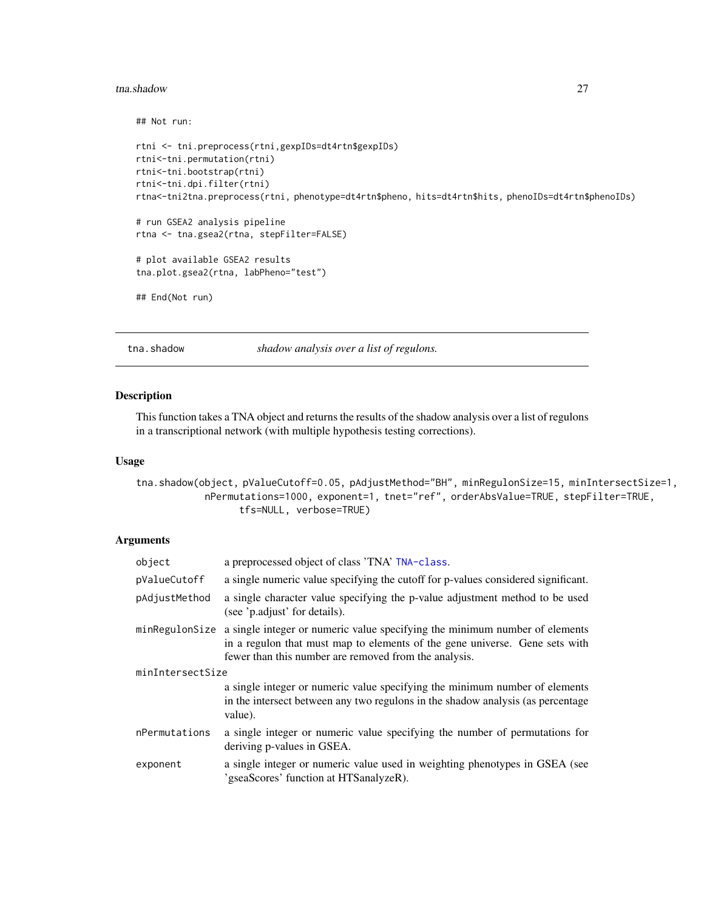#### <span id="page-26-0"></span>tna.shadow 27

## Not run:

```
rtni <- tni.preprocess(rtni,gexpIDs=dt4rtn$gexpIDs)
rtni<-tni.permutation(rtni)
rtni<-tni.bootstrap(rtni)
rtni<-tni.dpi.filter(rtni)
rtna<-tni2tna.preprocess(rtni, phenotype=dt4rtn$pheno, hits=dt4rtn$hits, phenoIDs=dt4rtn$phenoIDs)
```

```
# run GSEA2 analysis pipeline
rtna <- tna.gsea2(rtna, stepFilter=FALSE)
```

```
# plot available GSEA2 results
tna.plot.gsea2(rtna, labPheno="test")
```

```
## End(Not run)
```
<span id="page-26-1"></span>tna.shadow *shadow analysis over a list of regulons.*

#### Description

This function takes a TNA object and returns the results of the shadow analysis over a list of regulons in a transcriptional network (with multiple hypothesis testing corrections).

#### Usage

```
tna.shadow(object, pValueCutoff=0.05, pAdjustMethod="BH", minRegulonSize=15, minIntersectSize=1,
            nPermutations=1000, exponent=1, tnet="ref", orderAbsValue=TRUE, stepFilter=TRUE,
                  tfs=NULL, verbose=TRUE)
```
#### Arguments

| object           | a preprocessed object of class 'TNA' TNA-class.                                                                                                                                                                     |  |
|------------------|---------------------------------------------------------------------------------------------------------------------------------------------------------------------------------------------------------------------|--|
| pValueCutoff     | a single numeric value specifying the cutoff for p-values considered significant.                                                                                                                                   |  |
| pAdjustMethod    | a single character value specifying the p-value adjustment method to be used<br>(see 'p.adjust' for details).                                                                                                       |  |
| minRegulonSize   | a single integer or numeric value specifying the minimum number of elements<br>in a regulon that must map to elements of the gene universe. Gene sets with<br>fewer than this number are removed from the analysis. |  |
| minIntersectSize |                                                                                                                                                                                                                     |  |
|                  | a single integer or numeric value specifying the minimum number of elements<br>in the intersect between any two regulons in the shadow analysis (as percentage<br>value).                                           |  |
| nPermutations    | a single integer or numeric value specifying the number of permutations for<br>deriving p-values in GSEA.                                                                                                           |  |
| exponent         | a single integer or numeric value used in weighting phenotypes in GSEA (see<br>'gseaScores' function at HTSanalyzeR).                                                                                               |  |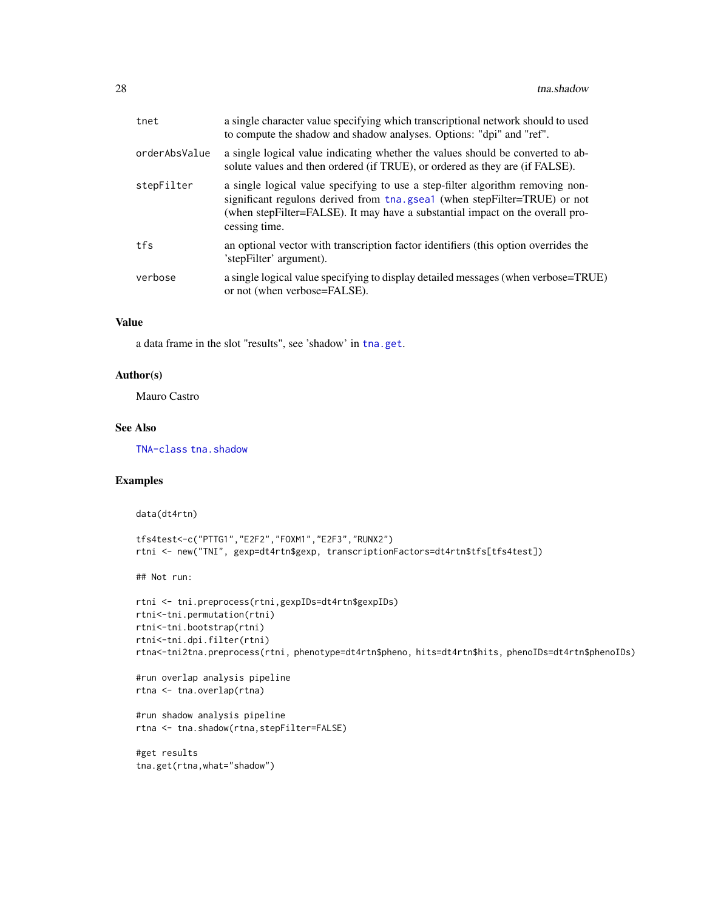| tnet          | a single character value specifying which transcriptional network should to used<br>to compute the shadow and shadow analyses. Options: "dpi" and "ref".                                                                                                      |
|---------------|---------------------------------------------------------------------------------------------------------------------------------------------------------------------------------------------------------------------------------------------------------------|
| orderAbsValue | a single logical value indicating whether the values should be converted to ab-<br>solute values and then ordered (if TRUE), or ordered as they are (if FALSE).                                                                                               |
| stepFilter    | a single logical value specifying to use a step-filter algorithm removing non-<br>significant regulons derived from tha.gsea1 (when stepFilter=TRUE) or not<br>(when stepFilter=FALSE). It may have a substantial impact on the overall pro-<br>cessing time. |
| tfs           | an optional vector with transcription factor identifiers (this option overrides the<br>'stepFilter' argument).                                                                                                                                                |
| verbose       | a single logical value specifying to display detailed messages (when verbose=TRUE)<br>or not (when verbose=FALSE).                                                                                                                                            |
|               |                                                                                                                                                                                                                                                               |

#### Value

a data frame in the slot "results", see 'shadow' in [tna.get](#page-14-1).

## Author(s)

Mauro Castro

#### See Also

[TNA-class](#page-12-1) [tna.shadow](#page-26-1)

## Examples

data(dt4rtn)

```
tfs4test<-c("PTTG1","E2F2","FOXM1","E2F3","RUNX2")
rtni <- new("TNI", gexp=dt4rtn$gexp, transcriptionFactors=dt4rtn$tfs[tfs4test])
```
## Not run:

```
rtni <- tni.preprocess(rtni,gexpIDs=dt4rtn$gexpIDs)
rtni<-tni.permutation(rtni)
rtni<-tni.bootstrap(rtni)
rtni<-tni.dpi.filter(rtni)
rtna<-tni2tna.preprocess(rtni, phenotype=dt4rtn$pheno, hits=dt4rtn$hits, phenoIDs=dt4rtn$phenoIDs)
```

```
#run overlap analysis pipeline
rtna <- tna.overlap(rtna)
```

```
#run shadow analysis pipeline
rtna <- tna.shadow(rtna,stepFilter=FALSE)
```

```
#get results
tna.get(rtna,what="shadow")
```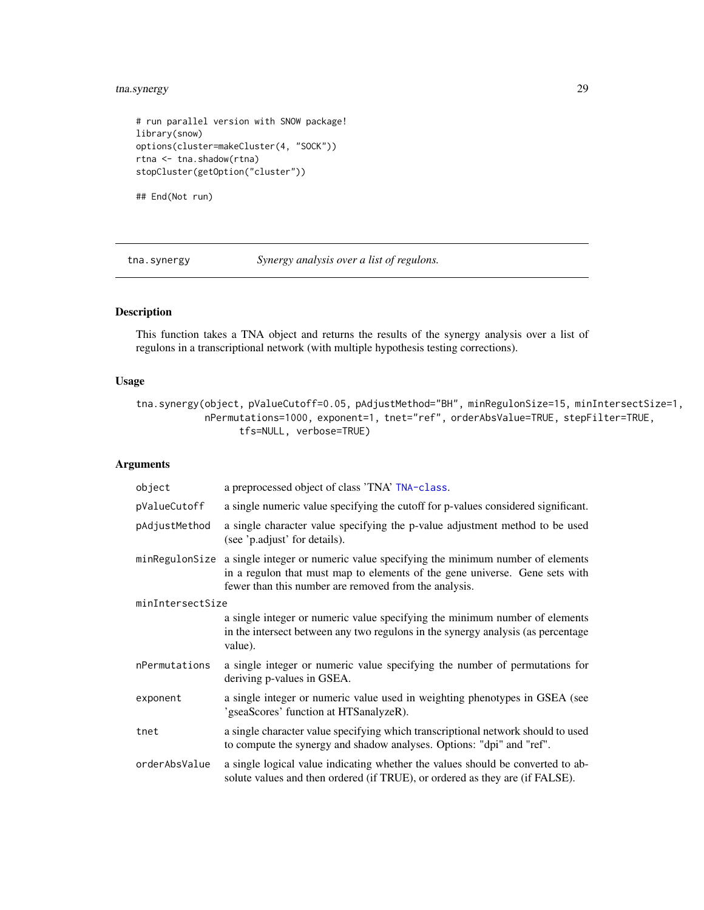## <span id="page-28-0"></span>tna.synergy 29

```
# run parallel version with SNOW package!
library(snow)
options(cluster=makeCluster(4, "SOCK"))
rtna <- tna.shadow(rtna)
stopCluster(getOption("cluster"))
```
## End(Not run)

<span id="page-28-1"></span>tna.synergy *Synergy analysis over a list of regulons.*

## Description

This function takes a TNA object and returns the results of the synergy analysis over a list of regulons in a transcriptional network (with multiple hypothesis testing corrections).

#### Usage

```
tna.synergy(object, pValueCutoff=0.05, pAdjustMethod="BH", minRegulonSize=15, minIntersectSize=1,
            nPermutations=1000, exponent=1, tnet="ref", orderAbsValue=TRUE, stepFilter=TRUE,
                  tfs=NULL, verbose=TRUE)
```
## Arguments

| object           | a preprocessed object of class 'TNA' TNA-class.                                                                                                                                                                     |
|------------------|---------------------------------------------------------------------------------------------------------------------------------------------------------------------------------------------------------------------|
| pValueCutoff     | a single numeric value specifying the cutoff for p-values considered significant.                                                                                                                                   |
| pAdjustMethod    | a single character value specifying the p-value adjustment method to be used<br>(see 'p.adjust' for details).                                                                                                       |
| minRegulonSize   | a single integer or numeric value specifying the minimum number of elements<br>in a regulon that must map to elements of the gene universe. Gene sets with<br>fewer than this number are removed from the analysis. |
| minIntersectSize |                                                                                                                                                                                                                     |
|                  | a single integer or numeric value specifying the minimum number of elements<br>in the intersect between any two regulons in the synergy analysis (as percentage<br>value).                                          |
| nPermutations    | a single integer or numeric value specifying the number of permutations for<br>deriving p-values in GSEA.                                                                                                           |
| exponent         | a single integer or numeric value used in weighting phenotypes in GSEA (see<br>'gseaScores' function at HTSanalyzeR).                                                                                               |
| tnet             | a single character value specifying which transcriptional network should to used<br>to compute the synergy and shadow analyses. Options: "dpi" and "ref".                                                           |
| orderAbsValue    | a single logical value indicating whether the values should be converted to ab-<br>solute values and then ordered (if TRUE), or ordered as they are (if FALSE).                                                     |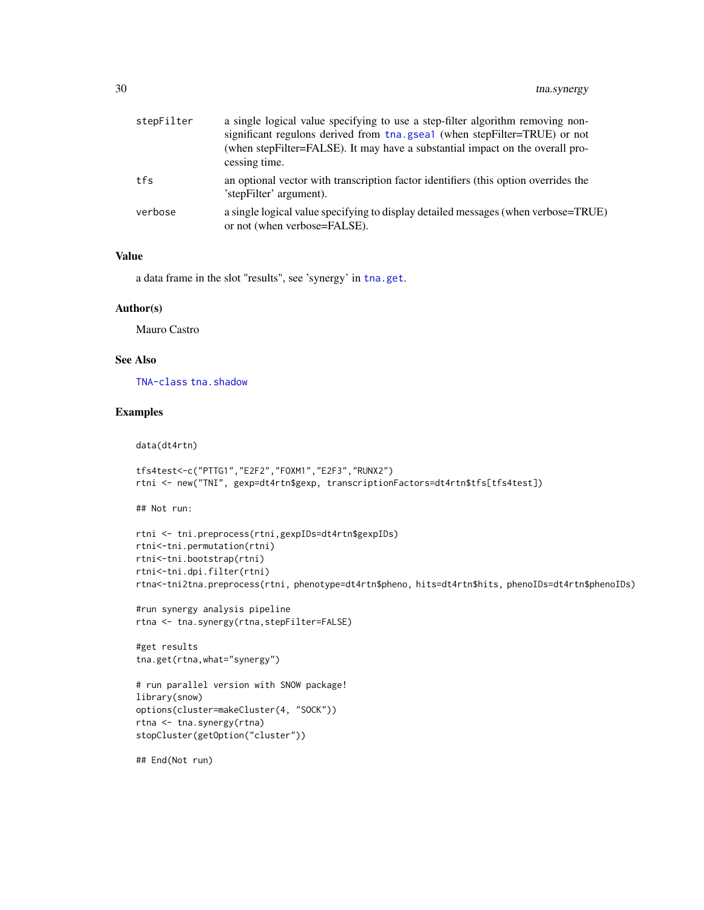| stepFilter | a single logical value specifying to use a step-filter algorithm removing non-<br>significant regulons derived from tha.gsea1 (when stepFilter=TRUE) or not<br>(when stepFilter=FALSE). It may have a substantial impact on the overall pro-<br>cessing time. |
|------------|---------------------------------------------------------------------------------------------------------------------------------------------------------------------------------------------------------------------------------------------------------------|
| tfs        | an optional vector with transcription factor identifiers (this option overrides the<br>'stepFilter' argument).                                                                                                                                                |
| verbose    | a single logical value specifying to display detailed messages (when verbose=TRUE)<br>or not (when verbose=FALSE).                                                                                                                                            |

#### Value

a data frame in the slot "results", see 'synergy' in [tna.get](#page-14-1).

#### Author(s)

Mauro Castro

## See Also

[TNA-class](#page-12-1) [tna.shadow](#page-26-1)

#### Examples

```
tfs4test<-c("PTTG1","E2F2","FOXM1","E2F3","RUNX2")
rtni <- new("TNI", gexp=dt4rtn$gexp, transcriptionFactors=dt4rtn$tfs[tfs4test])
```
## Not run:

data(dt4rtn)

```
rtni <- tni.preprocess(rtni,gexpIDs=dt4rtn$gexpIDs)
rtni<-tni.permutation(rtni)
rtni<-tni.bootstrap(rtni)
rtni<-tni.dpi.filter(rtni)
rtna<-tni2tna.preprocess(rtni, phenotype=dt4rtn$pheno, hits=dt4rtn$hits, phenoIDs=dt4rtn$phenoIDs)
```

```
#run synergy analysis pipeline
rtna <- tna.synergy(rtna,stepFilter=FALSE)
```
#get results tna.get(rtna,what="synergy")

```
# run parallel version with SNOW package!
library(snow)
options(cluster=makeCluster(4, "SOCK"))
rtna <- tna.synergy(rtna)
stopCluster(getOption("cluster"))
```
## End(Not run)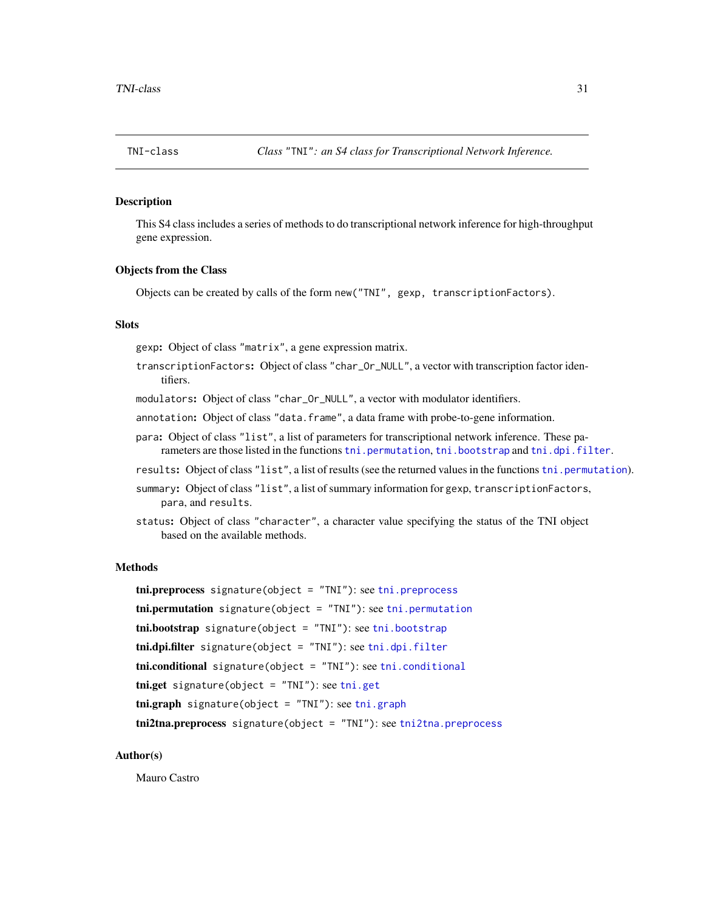<span id="page-30-1"></span><span id="page-30-0"></span>This S4 class includes a series of methods to do transcriptional network inference for high-throughput gene expression.

#### Objects from the Class

Objects can be created by calls of the form new("TNI", gexp, transcriptionFactors).

#### **Slots**

gexp: Object of class "matrix", a gene expression matrix.

- transcriptionFactors: Object of class "char\_Or\_NULL", a vector with transcription factor identifiers.
- modulators: Object of class "char\_Or\_NULL", a vector with modulator identifiers.
- annotation: Object of class "data.frame", a data frame with probe-to-gene information.
- para: Object of class "list", a list of parameters for transcriptional network inference. These parameters are those listed in the functions [tni.permutation](#page-39-1), [tni.bootstrap](#page-31-1) and [tni.dpi.filter](#page-35-1).
- results: Object of class "list", a list of results (see the returned values in the functions [tni.permutation](#page-39-1)).
- summary: Object of class "list", a list of summary information for gexp, transcriptionFactors, para, and results.
- status: Object of class "character", a character value specifying the status of the TNI object based on the available methods.

## Methods

tni.preprocess signature(object = "TNI"): see [tni.preprocess](#page-41-1)  $t$ ni.permutation signature(object = "TNI"): see  $t$ ni.permutation tni.bootstrap signature(object = "TNI"): see [tni.bootstrap](#page-31-1) tni.dpi.filter signature(object = "TNI"): see [tni.dpi.filter](#page-35-1) tni.conditional signature(object = "TNI"): see [tni.conditional](#page-32-1)  $t$ ni.get signature(object = "TNI"): see  $t$ ni.get  $\text{tni}.\text{graph } \text{signature}(\text{object} = "TNI"))$ : see  $\text{tni}.\text{graph}$ tni2tna.preprocess signature(object = "TNI"): see [tni2tna.preprocess](#page-42-1)

#### Author(s)

Mauro Castro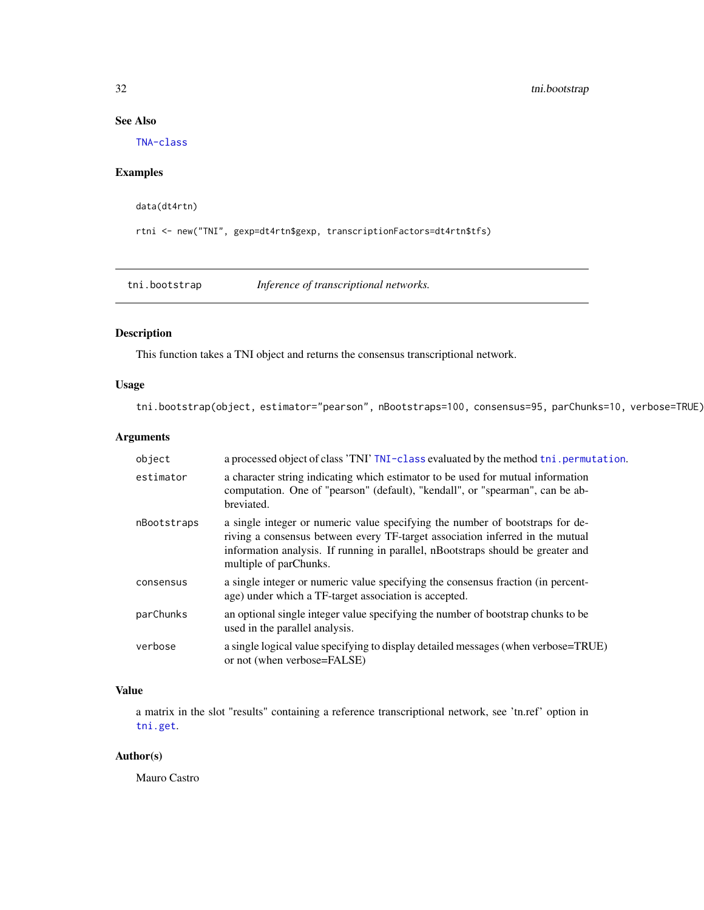## See Also

[TNA-class](#page-12-1)

## Examples

data(dt4rtn)

rtni <- new("TNI", gexp=dt4rtn\$gexp, transcriptionFactors=dt4rtn\$tfs)

<span id="page-31-1"></span>tni.bootstrap *Inference of transcriptional networks.*

## Description

This function takes a TNI object and returns the consensus transcriptional network.

## Usage

tni.bootstrap(object, estimator="pearson", nBootstraps=100, consensus=95, parChunks=10, verbose=TRUE)

## Arguments

| object      | a processed object of class 'TNI' TNI-class evaluated by the method tni . permutation.                                                                                                                                                                                      |
|-------------|-----------------------------------------------------------------------------------------------------------------------------------------------------------------------------------------------------------------------------------------------------------------------------|
| estimator   | a character string indicating which estimator to be used for mutual information<br>computation. One of "pearson" (default), "kendall", or "spearman", can be ab-<br>breviated.                                                                                              |
| nBootstraps | a single integer or numeric value specifying the number of bootstraps for de-<br>riving a consensus between every TF-target association inferred in the mutual<br>information analysis. If running in parallel, nBootstraps should be greater and<br>multiple of parChunks. |
| consensus   | a single integer or numeric value specifying the consensus fraction (in percent-<br>age) under which a TF-target association is accepted.                                                                                                                                   |
| parChunks   | an optional single integer value specifying the number of bootstrap chunks to be<br>used in the parallel analysis.                                                                                                                                                          |
| verbose     | a single logical value specifying to display detailed messages (when verbose=TRUE)<br>or not (when verbose=FALSE)                                                                                                                                                           |

## Value

a matrix in the slot "results" containing a reference transcriptional network, see 'tn.ref' option in [tni.get](#page-36-1).

## Author(s)

Mauro Castro

<span id="page-31-0"></span>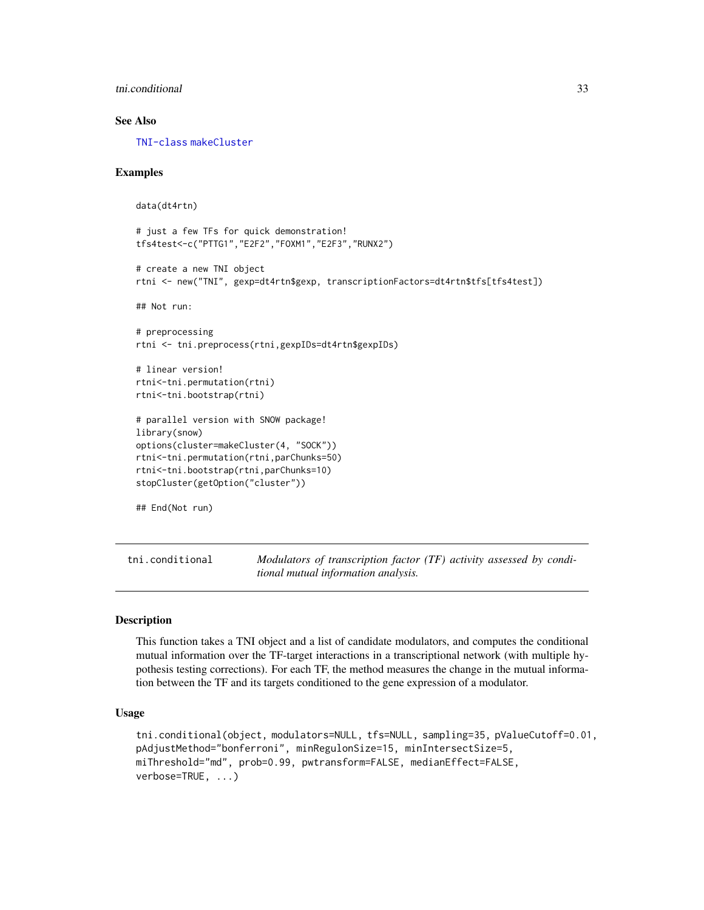<span id="page-32-0"></span>the third conditional 33

## See Also

[TNI-class](#page-30-1) [makeCluster](#page-0-0)

#### Examples

```
data(dt4rtn)
# just a few TFs for quick demonstration!
tfs4test<-c("PTTG1","E2F2","FOXM1","E2F3","RUNX2")
# create a new TNI object
rtni <- new("TNI", gexp=dt4rtn$gexp, transcriptionFactors=dt4rtn$tfs[tfs4test])
## Not run:
# preprocessing
rtni <- tni.preprocess(rtni,gexpIDs=dt4rtn$gexpIDs)
# linear version!
rtni<-tni.permutation(rtni)
rtni<-tni.bootstrap(rtni)
# parallel version with SNOW package!
library(snow)
options(cluster=makeCluster(4, "SOCK"))
rtni<-tni.permutation(rtni,parChunks=50)
rtni<-tni.bootstrap(rtni,parChunks=10)
stopCluster(getOption("cluster"))
## End(Not run)
```
<span id="page-32-1"></span>tni.conditional *Modulators of transcription factor (TF) activity assessed by conditional mutual information analysis.*

## **Description**

This function takes a TNI object and a list of candidate modulators, and computes the conditional mutual information over the TF-target interactions in a transcriptional network (with multiple hypothesis testing corrections). For each TF, the method measures the change in the mutual information between the TF and its targets conditioned to the gene expression of a modulator.

#### Usage

```
tni.conditional(object, modulators=NULL, tfs=NULL, sampling=35, pValueCutoff=0.01,
pAdjustMethod="bonferroni", minRegulonSize=15, minIntersectSize=5,
miThreshold="md", prob=0.99, pwtransform=FALSE, medianEffect=FALSE,
verbose=TRUE, ...)
```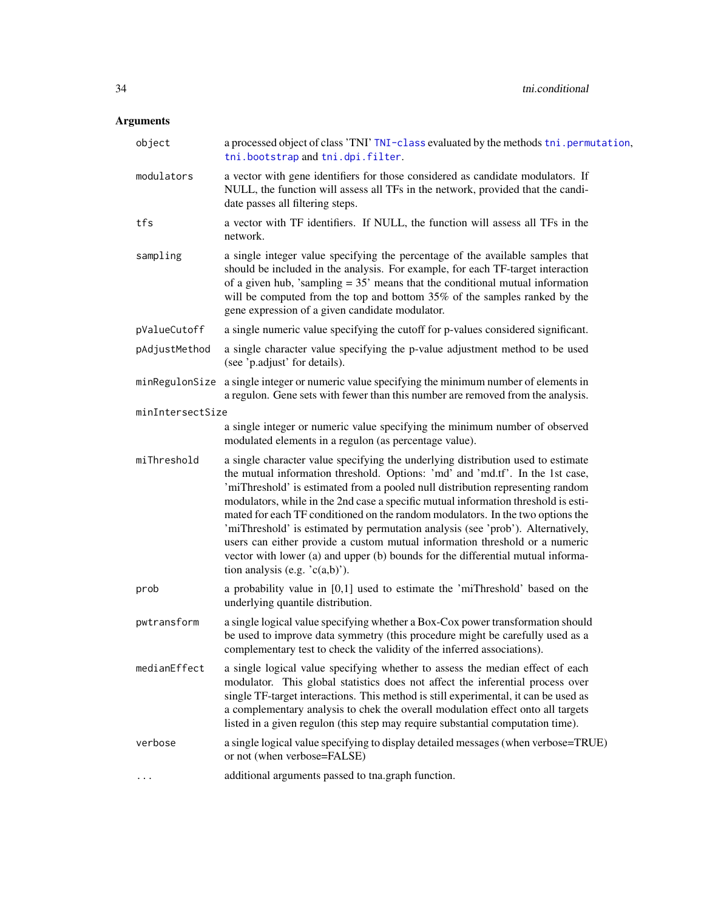## Arguments

| object           | a processed object of class 'TNI' TNI-class evaluated by the methods tni.permutation,<br>tni.bootstrap and tni.dpi.filter.                                                                                                                                                                                                                                                                                                                                                                                                                                                                                                                                                                                            |
|------------------|-----------------------------------------------------------------------------------------------------------------------------------------------------------------------------------------------------------------------------------------------------------------------------------------------------------------------------------------------------------------------------------------------------------------------------------------------------------------------------------------------------------------------------------------------------------------------------------------------------------------------------------------------------------------------------------------------------------------------|
| modulators       | a vector with gene identifiers for those considered as candidate modulators. If<br>NULL, the function will assess all TFs in the network, provided that the candi-<br>date passes all filtering steps.                                                                                                                                                                                                                                                                                                                                                                                                                                                                                                                |
| tfs              | a vector with TF identifiers. If NULL, the function will assess all TFs in the<br>network.                                                                                                                                                                                                                                                                                                                                                                                                                                                                                                                                                                                                                            |
| sampling         | a single integer value specifying the percentage of the available samples that<br>should be included in the analysis. For example, for each TF-target interaction<br>of a given hub, 'sampling $= 35$ ' means that the conditional mutual information<br>will be computed from the top and bottom 35% of the samples ranked by the<br>gene expression of a given candidate modulator.                                                                                                                                                                                                                                                                                                                                 |
| pValueCutoff     | a single numeric value specifying the cutoff for p-values considered significant.                                                                                                                                                                                                                                                                                                                                                                                                                                                                                                                                                                                                                                     |
| pAdjustMethod    | a single character value specifying the p-value adjustment method to be used<br>(see 'p.adjust' for details).                                                                                                                                                                                                                                                                                                                                                                                                                                                                                                                                                                                                         |
| minRegulonSize   | a single integer or numeric value specifying the minimum number of elements in<br>a regulon. Gene sets with fewer than this number are removed from the analysis.                                                                                                                                                                                                                                                                                                                                                                                                                                                                                                                                                     |
| minIntersectSize |                                                                                                                                                                                                                                                                                                                                                                                                                                                                                                                                                                                                                                                                                                                       |
|                  | a single integer or numeric value specifying the minimum number of observed<br>modulated elements in a regulon (as percentage value).                                                                                                                                                                                                                                                                                                                                                                                                                                                                                                                                                                                 |
| miThreshold      | a single character value specifying the underlying distribution used to estimate<br>the mutual information threshold. Options: 'md' and 'md.tf'. In the 1st case,<br>'miThreshold' is estimated from a pooled null distribution representing random<br>modulators, while in the 2nd case a specific mutual information threshold is esti-<br>mated for each TF conditioned on the random modulators. In the two options the<br>'miThreshold' is estimated by permutation analysis (see 'prob'). Alternatively,<br>users can either provide a custom mutual information threshold or a numeric<br>vector with lower (a) and upper (b) bounds for the differential mutual informa-<br>tion analysis (e.g. $(c(a,b))$ ). |
| prob             | a probability value in $[0,1]$ used to estimate the 'miThreshold' based on the<br>underlying quantile distribution.                                                                                                                                                                                                                                                                                                                                                                                                                                                                                                                                                                                                   |
| pwtransform      | a single logical value specifying whether a Box-Cox power transformation should<br>be used to improve data symmetry (this procedure might be carefully used as a<br>complementary test to check the validity of the inferred associations).                                                                                                                                                                                                                                                                                                                                                                                                                                                                           |
| medianEffect     | a single logical value specifying whether to assess the median effect of each<br>modulator. This global statistics does not affect the inferential process over<br>single TF-target interactions. This method is still experimental, it can be used as<br>a complementary analysis to chek the overall modulation effect onto all targets<br>listed in a given regulon (this step may require substantial computation time).                                                                                                                                                                                                                                                                                          |
| verbose          | a single logical value specifying to display detailed messages (when verbose=TRUE)<br>or not (when verbose=FALSE)                                                                                                                                                                                                                                                                                                                                                                                                                                                                                                                                                                                                     |
|                  | additional arguments passed to tna.graph function.                                                                                                                                                                                                                                                                                                                                                                                                                                                                                                                                                                                                                                                                    |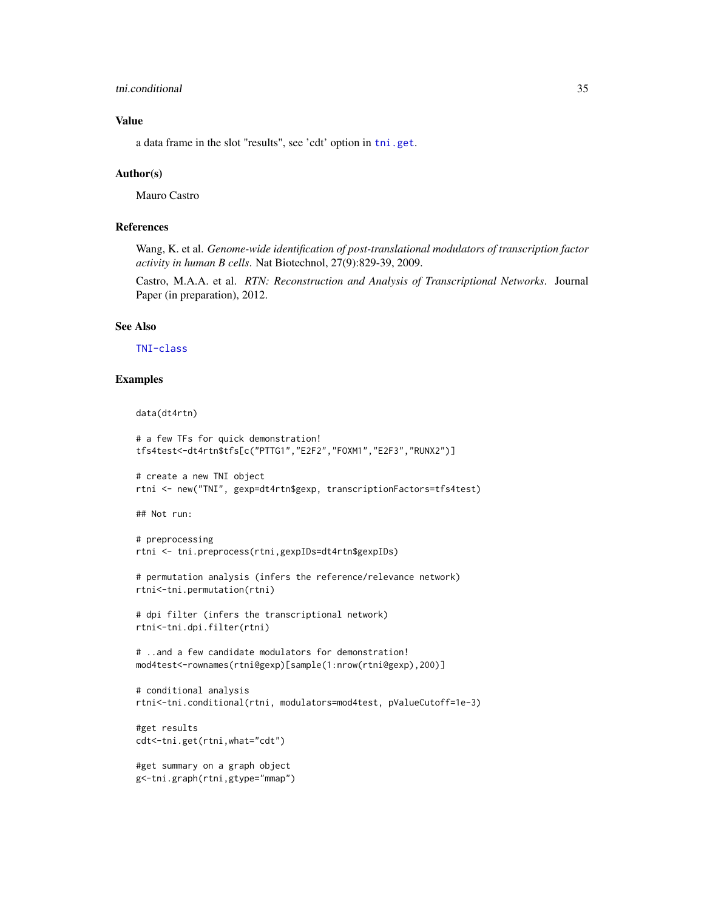#### tni.conditional 35

#### Value

a data frame in the slot "results", see 'cdt' option in [tni.get](#page-36-1).

#### Author(s)

Mauro Castro

#### References

Wang, K. et al. *Genome-wide identification of post-translational modulators of transcription factor activity in human B cells*. Nat Biotechnol, 27(9):829-39, 2009.

Castro, M.A.A. et al. *RTN: Reconstruction and Analysis of Transcriptional Networks*. Journal Paper (in preparation), 2012.

#### See Also

[TNI-class](#page-30-1)

## Examples

```
data(dt4rtn)
```

```
# a few TFs for quick demonstration!
tfs4test<-dt4rtn$tfs[c("PTTG1","E2F2","FOXM1","E2F3","RUNX2")]
```

```
# create a new TNI object
rtni <- new("TNI", gexp=dt4rtn$gexp, transcriptionFactors=tfs4test)
```
## Not run:

```
# preprocessing
rtni <- tni.preprocess(rtni,gexpIDs=dt4rtn$gexpIDs)
```

```
# permutation analysis (infers the reference/relevance network)
rtni<-tni.permutation(rtni)
```

```
# dpi filter (infers the transcriptional network)
rtni<-tni.dpi.filter(rtni)
```

```
# ..and a few candidate modulators for demonstration!
mod4test<-rownames(rtni@gexp)[sample(1:nrow(rtni@gexp),200)]
```

```
# conditional analysis
rtni<-tni.conditional(rtni, modulators=mod4test, pValueCutoff=1e-3)
```

```
#get results
cdt<-tni.get(rtni,what="cdt")
```

```
#get summary on a graph object
g<-tni.graph(rtni,gtype="mmap")
```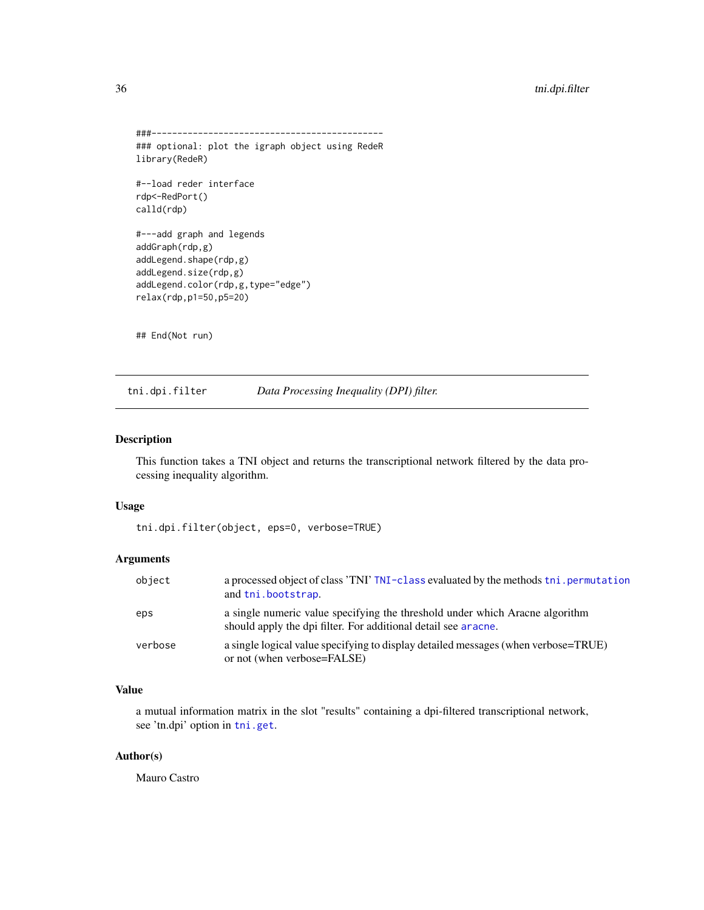```
###---------------------------------------------
### optional: plot the igraph object using RedeR
library(RedeR)
#--load reder interface
rdp<-RedPort()
calld(rdp)
#---add graph and legends
addGraph(rdp,g)
addLegend.shape(rdp,g)
addLegend.size(rdp,g)
addLegend.color(rdp,g,type="edge")
relax(rdp,p1=50,p5=20)
## End(Not run)
```
<span id="page-35-1"></span>tni.dpi.filter *Data Processing Inequality (DPI) filter.*

#### Description

This function takes a TNI object and returns the transcriptional network filtered by the data processing inequality algorithm.

#### Usage

```
tni.dpi.filter(object, eps=0, verbose=TRUE)
```
## Arguments

| object  | a processed object of class 'TNI' TNI-class evaluated by the methods thi, permutation<br>and thi.bootstrap.                                    |
|---------|------------------------------------------------------------------------------------------------------------------------------------------------|
| eps     | a single numeric value specifying the threshold under which Aracne algorithm<br>should apply the dpi filter. For additional detail see aracne. |
| verbose | a single logical value specifying to display detailed messages (when verbose=TRUE)<br>or not (when verbose=FALSE)                              |

## Value

a mutual information matrix in the slot "results" containing a dpi-filtered transcriptional network, see 'tn.dpi' option in [tni.get](#page-36-1).

#### Author(s)

Mauro Castro

<span id="page-35-0"></span>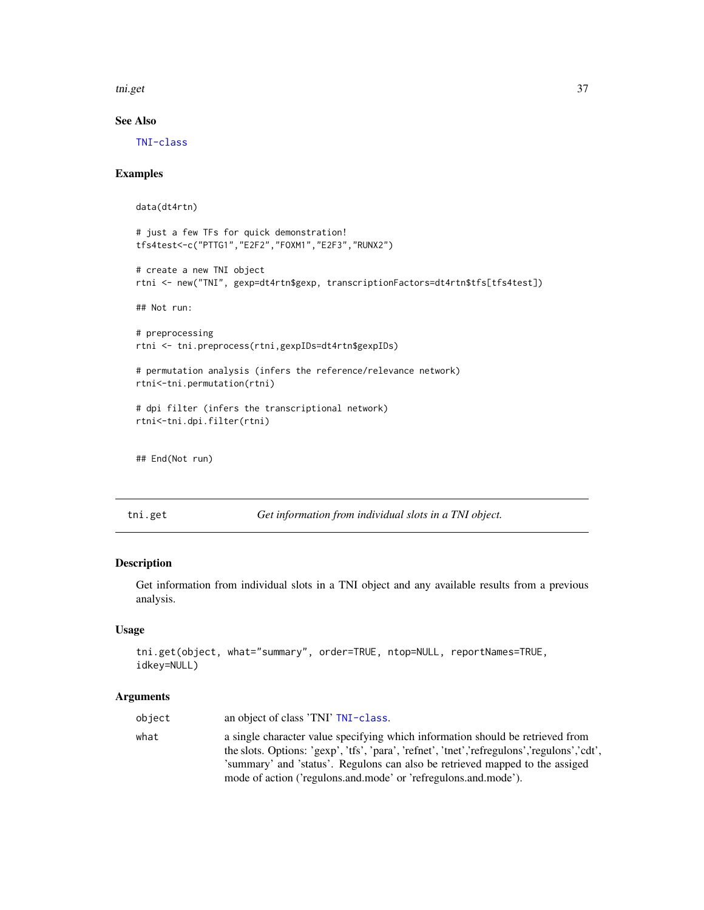<span id="page-36-0"></span>tni.get 37

## See Also

[TNI-class](#page-30-1)

## Examples

```
data(dt4rtn)
# just a few TFs for quick demonstration!
tfs4test<-c("PTTG1","E2F2","FOXM1","E2F3","RUNX2")
# create a new TNI object
rtni <- new("TNI", gexp=dt4rtn$gexp, transcriptionFactors=dt4rtn$tfs[tfs4test])
## Not run:
# preprocessing
rtni <- tni.preprocess(rtni,gexpIDs=dt4rtn$gexpIDs)
# permutation analysis (infers the reference/relevance network)
rtni<-tni.permutation(rtni)
# dpi filter (infers the transcriptional network)
rtni<-tni.dpi.filter(rtni)
## End(Not run)
```
<span id="page-36-1"></span>tni.get *Get information from individual slots in a TNI object.*

## Description

Get information from individual slots in a TNI object and any available results from a previous analysis.

#### Usage

```
tni.get(object, what="summary", order=TRUE, ntop=NULL, reportNames=TRUE,
idkey=NULL)
```
#### Arguments

| object | an object of class 'TNI' TNI-class.                                                                                                                                                                                                                                                                                                 |
|--------|-------------------------------------------------------------------------------------------------------------------------------------------------------------------------------------------------------------------------------------------------------------------------------------------------------------------------------------|
| what   | a single character value specifying which information should be retrieved from<br>the slots. Options: 'gexp', 'tfs', 'para', 'refnet', 'tnet', 'refregulons', 'regulons', 'cdt',<br>'summary' and 'status'. Regulons can also be retrieved mapped to the assiged<br>mode of action ('regulons.and.mode' or 'refregulons.and.mode'). |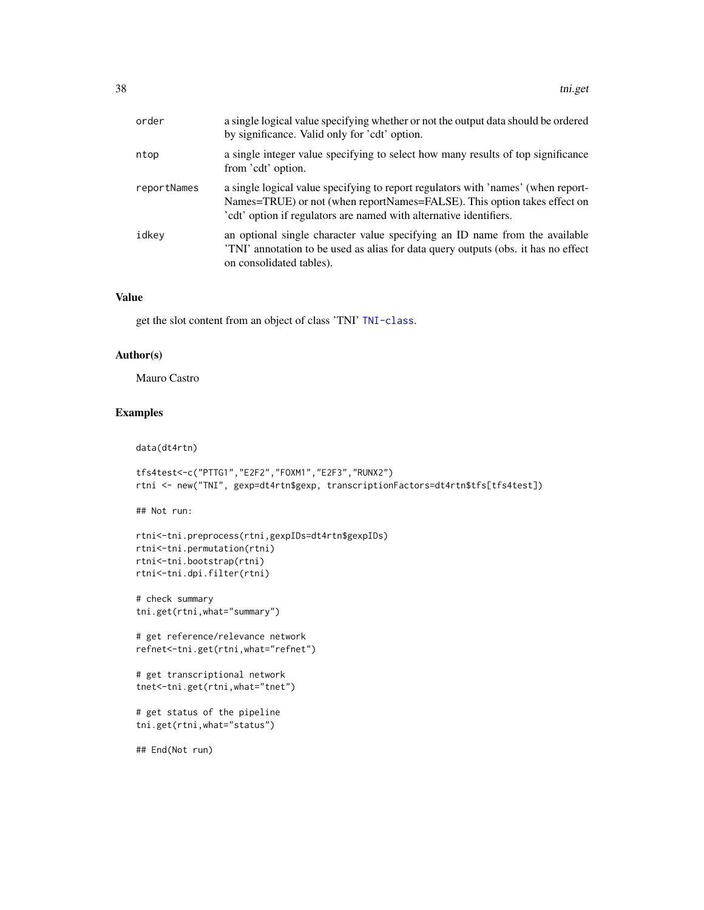| order       | a single logical value specifying whether or not the output data should be ordered<br>by significance. Valid only for 'cdt' option.                                                                                                 |
|-------------|-------------------------------------------------------------------------------------------------------------------------------------------------------------------------------------------------------------------------------------|
| ntop        | a single integer value specifying to select how many results of top significance<br>from 'cdt' option.                                                                                                                              |
| reportNames | a single logical value specifying to report regulators with 'names' (when report-<br>Names=TRUE) or not (when reportNames=FALSE). This option takes effect on<br>'cdt' option if regulators are named with alternative identifiers. |
| idkey       | an optional single character value specifying an ID name from the available<br>TNI' annotation to be used as alias for data query outputs (obs. it has no effect<br>on consolidated tables).                                        |

#### Value

get the slot content from an object of class 'TNI' [TNI-class](#page-30-1).

### Author(s)

Mauro Castro

## Examples

```
data(dt4rtn)
```

```
tfs4test<-c("PTTG1","E2F2","FOXM1","E2F3","RUNX2")
rtni <- new("TNI", gexp=dt4rtn$gexp, transcriptionFactors=dt4rtn$tfs[tfs4test])
```
## Not run:

```
rtni<-tni.preprocess(rtni,gexpIDs=dt4rtn$gexpIDs)
rtni<-tni.permutation(rtni)
rtni<-tni.bootstrap(rtni)
rtni<-tni.dpi.filter(rtni)
```

```
# check summary
tni.get(rtni,what="summary")
```

```
# get reference/relevance network
refnet<-tni.get(rtni,what="refnet")
```

```
# get transcriptional network
tnet<-tni.get(rtni,what="tnet")
```

```
# get status of the pipeline
tni.get(rtni,what="status")
```
## End(Not run)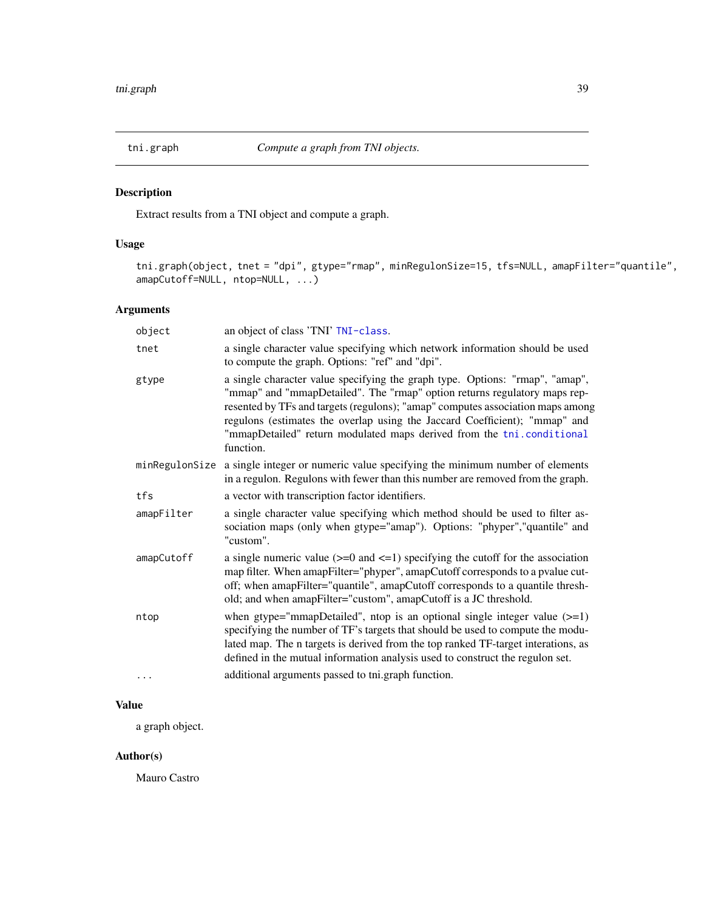<span id="page-38-1"></span><span id="page-38-0"></span>

Extract results from a TNI object and compute a graph.

## Usage

tni.graph(object, tnet = "dpi", gtype="rmap", minRegulonSize=15, tfs=NULL, amapFilter="quantile", amapCutoff=NULL, ntop=NULL, ...)

## Arguments

| object         | an object of class 'TNI' TNI-class.                                                                                                                                                                                                                                                                                                                                                                             |
|----------------|-----------------------------------------------------------------------------------------------------------------------------------------------------------------------------------------------------------------------------------------------------------------------------------------------------------------------------------------------------------------------------------------------------------------|
| tnet           | a single character value specifying which network information should be used<br>to compute the graph. Options: "ref" and "dpi".                                                                                                                                                                                                                                                                                 |
| gtype          | a single character value specifying the graph type. Options: "rmap", "amap",<br>"mmap" and "mmapDetailed". The "rmap" option returns regulatory maps rep-<br>resented by TFs and targets (regulons); "amap" computes association maps among<br>regulons (estimates the overlap using the Jaccard Coefficient); "mmap" and<br>"mmapDetailed" return modulated maps derived from the tni.conditional<br>function. |
| minRegulonSize | a single integer or numeric value specifying the minimum number of elements<br>in a regulon. Regulons with fewer than this number are removed from the graph.                                                                                                                                                                                                                                                   |
| tfs            | a vector with transcription factor identifiers.                                                                                                                                                                                                                                                                                                                                                                 |
| amapFilter     | a single character value specifying which method should be used to filter as-<br>sociation maps (only when gtype="amap"). Options: "phyper","quantile" and<br>"custom".                                                                                                                                                                                                                                         |
| amapCutoff     | a single numeric value $(>=0$ and $<=1$ ) specifying the cutoff for the association<br>map filter. When amapFilter="phyper", amapCutoff corresponds to a pvalue cut-<br>off; when amapFilter="quantile", amapCutoff corresponds to a quantile thresh-<br>old; and when amapFilter="custom", amapCutoff is a JC threshold.                                                                                       |
| ntop           | when gtype="mmapDetailed", ntop is an optional single integer value $(>=1)$<br>specifying the number of TF's targets that should be used to compute the modu-<br>lated map. The n targets is derived from the top ranked TF-target interations, as<br>defined in the mutual information analysis used to construct the regulon set.                                                                             |
| .              | additional arguments passed to tni.graph function.                                                                                                                                                                                                                                                                                                                                                              |

## Value

a graph object.

## Author(s)

Mauro Castro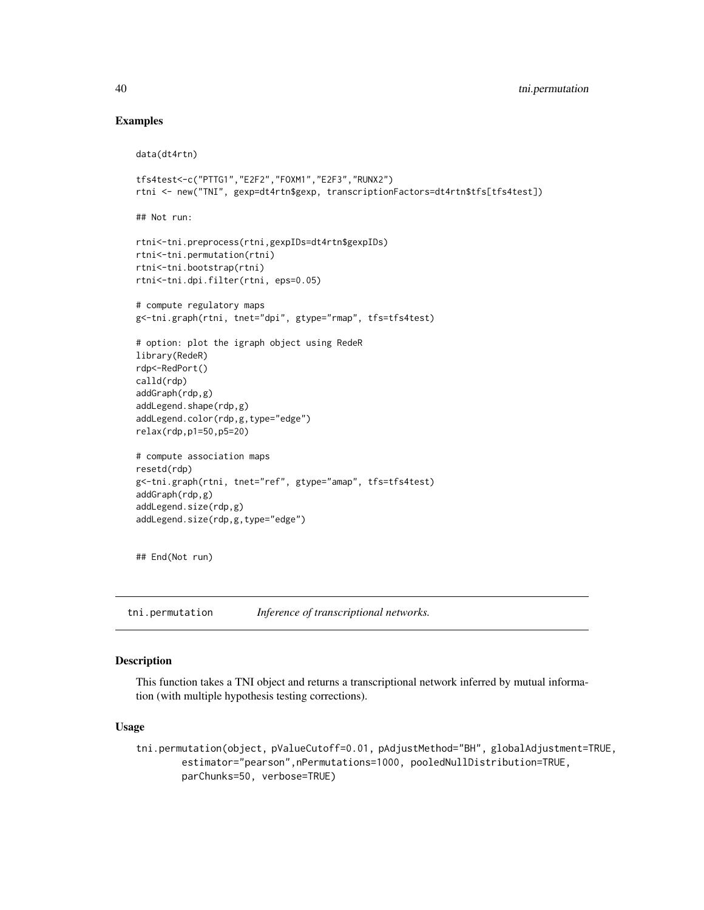#### Examples

```
data(dt4rtn)
tfs4test<-c("PTTG1","E2F2","FOXM1","E2F3","RUNX2")
rtni <- new("TNI", gexp=dt4rtn$gexp, transcriptionFactors=dt4rtn$tfs[tfs4test])
## Not run:
rtni<-tni.preprocess(rtni,gexpIDs=dt4rtn$gexpIDs)
rtni<-tni.permutation(rtni)
rtni<-tni.bootstrap(rtni)
rtni<-tni.dpi.filter(rtni, eps=0.05)
# compute regulatory maps
g<-tni.graph(rtni, tnet="dpi", gtype="rmap", tfs=tfs4test)
# option: plot the igraph object using RedeR
library(RedeR)
rdp<-RedPort()
calld(rdp)
addGraph(rdp,g)
addLegend.shape(rdp,g)
addLegend.color(rdp,g,type="edge")
relax(rdp,p1=50,p5=20)
# compute association maps
resetd(rdp)
g<-tni.graph(rtni, tnet="ref", gtype="amap", tfs=tfs4test)
addGraph(rdp,g)
addLegend.size(rdp,g)
addLegend.size(rdp,g,type="edge")
```
## End(Not run)

<span id="page-39-1"></span>tni.permutation *Inference of transcriptional networks.*

#### Description

This function takes a TNI object and returns a transcriptional network inferred by mutual information (with multiple hypothesis testing corrections).

#### Usage

```
tni.permutation(object, pValueCutoff=0.01, pAdjustMethod="BH", globalAdjustment=TRUE,
       estimator="pearson",nPermutations=1000, pooledNullDistribution=TRUE,
       parChunks=50, verbose=TRUE)
```
<span id="page-39-0"></span>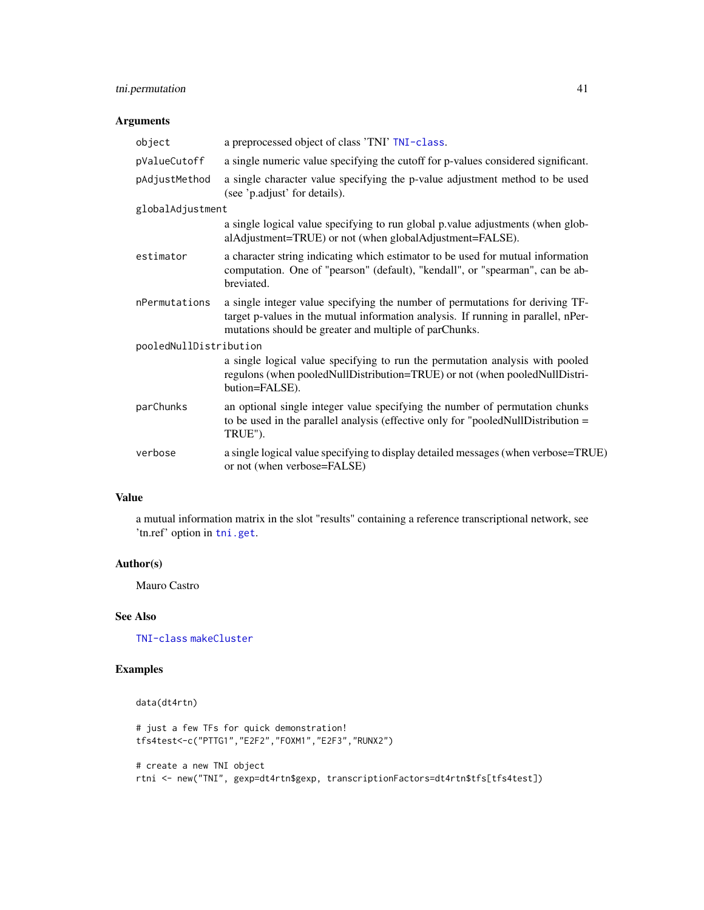## tni.permutation 41

## Arguments

| object                 | a preprocessed object of class 'TNI' TNI-class.                                                                                                                                                                              |
|------------------------|------------------------------------------------------------------------------------------------------------------------------------------------------------------------------------------------------------------------------|
| pValueCutoff           | a single numeric value specifying the cutoff for p-values considered significant.                                                                                                                                            |
| pAdjustMethod          | a single character value specifying the p-value adjustment method to be used<br>(see 'p.adjust' for details).                                                                                                                |
| globalAdjustment       |                                                                                                                                                                                                                              |
|                        | a single logical value specifying to run global p.value adjustments (when glob-<br>alAdjustment=TRUE) or not (when globalAdjustment=FALSE).                                                                                  |
| estimator              | a character string indicating which estimator to be used for mutual information<br>computation. One of "pearson" (default), "kendall", or "spearman", can be ab-<br>breviated.                                               |
| nPermutations          | a single integer value specifying the number of permutations for deriving TF-<br>target p-values in the mutual information analysis. If running in parallel, nPer-<br>mutations should be greater and multiple of parChunks. |
| pooledNullDistribution |                                                                                                                                                                                                                              |
|                        | a single logical value specifying to run the permutation analysis with pooled<br>regulons (when pooledNullDistribution=TRUE) or not (when pooledNullDistri-<br>bution=FALSE).                                                |
| parChunks              | an optional single integer value specifying the number of permutation chunks<br>to be used in the parallel analysis (effective only for "pooled Null Distribution $=$<br>TRUE").                                             |
| verbose                | a single logical value specifying to display detailed messages (when verbose=TRUE)<br>or not (when verbose=FALSE)                                                                                                            |
|                        |                                                                                                                                                                                                                              |

## Value

a mutual information matrix in the slot "results" containing a reference transcriptional network, see 'tn.ref' option in [tni.get](#page-36-1).

#### Author(s)

Mauro Castro

## See Also

[TNI-class](#page-30-1) [makeCluster](#page-0-0)

## Examples

```
data(dt4rtn)
# just a few TFs for quick demonstration!
tfs4test<-c("PTTG1","E2F2","FOXM1","E2F3","RUNX2")
# create a new TNI object
rtni <- new("TNI", gexp=dt4rtn$gexp, transcriptionFactors=dt4rtn$tfs[tfs4test])
```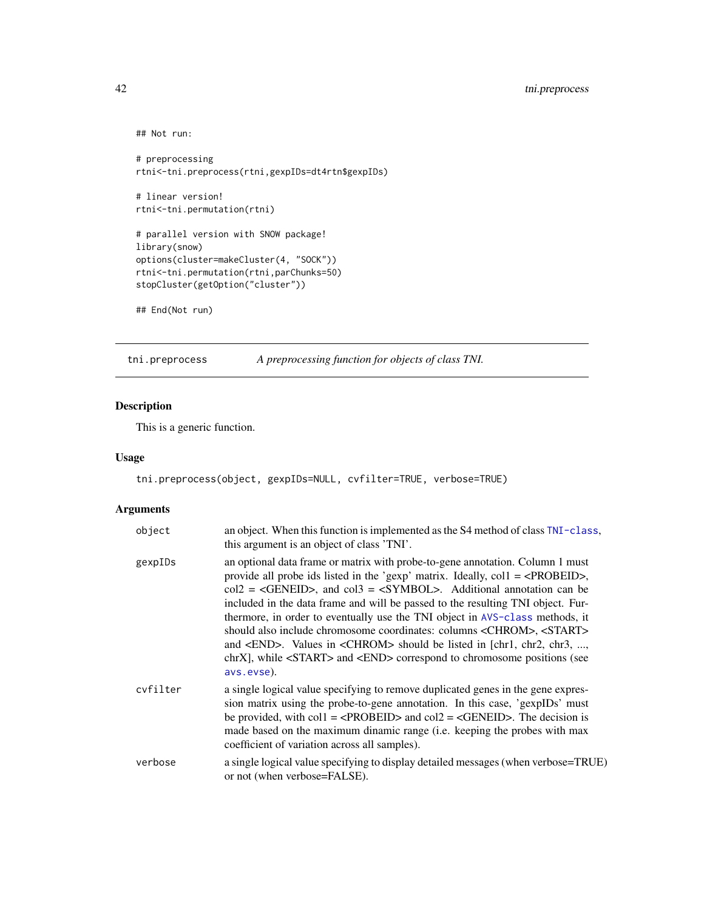```
## Not run:
# preprocessing
rtni<-tni.preprocess(rtni,gexpIDs=dt4rtn$gexpIDs)
# linear version!
rtni<-tni.permutation(rtni)
# parallel version with SNOW package!
library(snow)
options(cluster=makeCluster(4, "SOCK"))
rtni<-tni.permutation(rtni,parChunks=50)
stopCluster(getOption("cluster"))
```

```
## End(Not run)
```
<span id="page-41-1"></span>tni.preprocess *A preprocessing function for objects of class TNI.*

## Description

This is a generic function.

#### Usage

```
tni.preprocess(object, gexpIDs=NULL, cvfilter=TRUE, verbose=TRUE)
```
## Arguments

| object   | an object. When this function is implemented as the S4 method of class TNI-class,<br>this argument is an object of class 'TNI'.                                                                                                                                                                                                                                                                                                                                                                                                                                                                                                                                                                                                                  |
|----------|--------------------------------------------------------------------------------------------------------------------------------------------------------------------------------------------------------------------------------------------------------------------------------------------------------------------------------------------------------------------------------------------------------------------------------------------------------------------------------------------------------------------------------------------------------------------------------------------------------------------------------------------------------------------------------------------------------------------------------------------------|
| gexpIDs  | an optional data frame or matrix with probe-to-gene annotation. Column 1 must<br>provide all probe ids listed in the 'gexp' matrix. Ideally, $\text{col1} = \text{RROBEID}$ ,<br>$col2 = \langle GENEID \rangle$ , and $col3 = \langle SYMBOL \rangle$ . Additional annotation can be<br>included in the data frame and will be passed to the resulting TNI object. Fur-<br>thermore, in order to eventually use the TNI object in AVS-class methods, it<br>should also include chromosome coordinates: columns <chrom>, <start><br/>and <end>. Values in <chrom> should be listed in [chr1, chr2, chr3, ,<br/>chrXl, while <start> and <end> correspond to chromosome positions (see<br/>avs.evse).</end></start></chrom></end></start></chrom> |
| cvfilter | a single logical value specifying to remove duplicated genes in the gene expres-<br>sion matrix using the probe-to-gene annotation. In this case, 'gexpIDs' must<br>be provided, with $\text{coll} = \langle \text{PROBEID} \rangle$ and $\text{col2} = \langle \text{GENEID} \rangle$ . The decision is<br>made based on the maximum dinamic range (i.e. keeping the probes with max<br>coefficient of variation across all samples).                                                                                                                                                                                                                                                                                                           |
| verbose  | a single logical value specifying to display detailed messages (when verbose=TRUE)<br>or not (when verbose=FALSE).                                                                                                                                                                                                                                                                                                                                                                                                                                                                                                                                                                                                                               |

<span id="page-41-0"></span>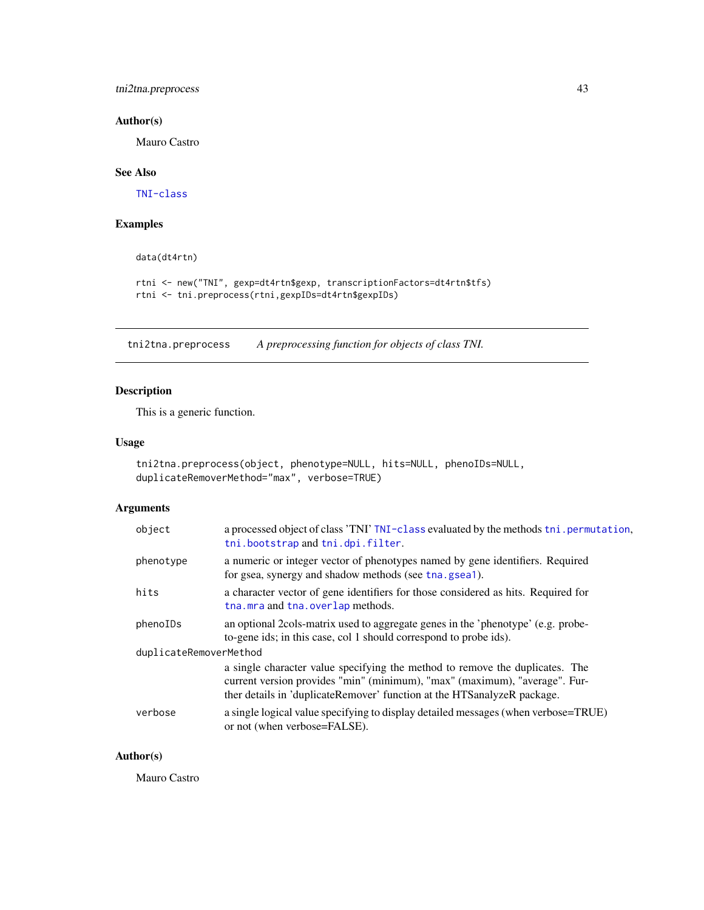<span id="page-42-0"></span>tni2tna.preprocess 43

## Author(s)

Mauro Castro

## See Also

[TNI-class](#page-30-1)

#### Examples

data(dt4rtn)

rtni <- new("TNI", gexp=dt4rtn\$gexp, transcriptionFactors=dt4rtn\$tfs) rtni <- tni.preprocess(rtni,gexpIDs=dt4rtn\$gexpIDs)

<span id="page-42-1"></span>tni2tna.preprocess *A preprocessing function for objects of class TNI.*

## Description

This is a generic function.

## Usage

```
tni2tna.preprocess(object, phenotype=NULL, hits=NULL, phenoIDs=NULL,
duplicateRemoverMethod="max", verbose=TRUE)
```
## Arguments

| object                 | a processed object of class 'TNI' TNI-class evaluated by the methods tni . permutation,<br>thi.bootstrap and thi.dpi.filter.                                                                                                           |
|------------------------|----------------------------------------------------------------------------------------------------------------------------------------------------------------------------------------------------------------------------------------|
| phenotype              | a numeric or integer vector of phenotypes named by gene identifiers. Required<br>for gsea, synergy and shadow methods (see tha.gsea1).                                                                                                 |
| hits                   | a character vector of gene identifiers for those considered as hits. Required for<br>tha.mra and tha.overlap methods.                                                                                                                  |
| phenoIDs               | an optional 2cols-matrix used to aggregate genes in the 'phenotype' (e.g. probe-<br>to-gene ids; in this case, col 1 should correspond to probe ids).                                                                                  |
| duplicateRemoverMethod |                                                                                                                                                                                                                                        |
|                        | a single character value specifying the method to remove the duplicates. The<br>current version provides "min" (minimum), "max" (maximum), "average". Fur-<br>ther details in 'duplicateRemover' function at the HTS analyzeR package. |
| verbose                | a single logical value specifying to display detailed messages (when verbose=TRUE)<br>or not (when verbose=FALSE).                                                                                                                     |

## Author(s)

Mauro Castro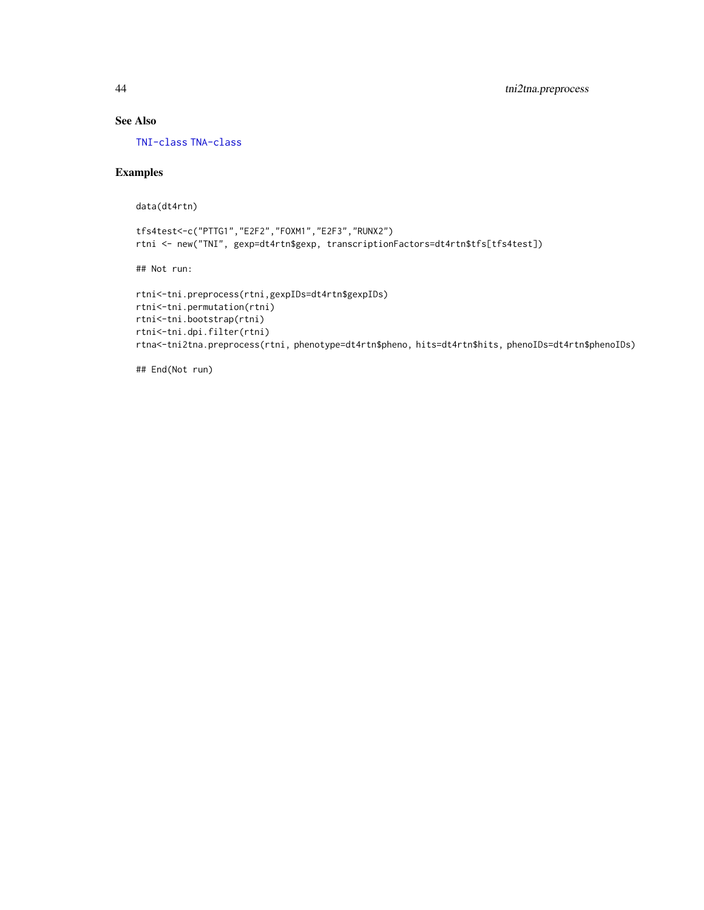## See Also

[TNI-class](#page-30-1) [TNA-class](#page-12-1)

## Examples

data(dt4rtn)

```
tfs4test<-c("PTTG1","E2F2","FOXM1","E2F3","RUNX2")
rtni <- new("TNI", gexp=dt4rtn$gexp, transcriptionFactors=dt4rtn$tfs[tfs4test])
```
## Not run:

```
rtni<-tni.preprocess(rtni,gexpIDs=dt4rtn$gexpIDs)
rtni<-tni.permutation(rtni)
rtni<-tni.bootstrap(rtni)
rtni<-tni.dpi.filter(rtni)
rtna<-tni2tna.preprocess(rtni, phenotype=dt4rtn$pheno, hits=dt4rtn$hits, phenoIDs=dt4rtn$phenoIDs)
```
## End(Not run)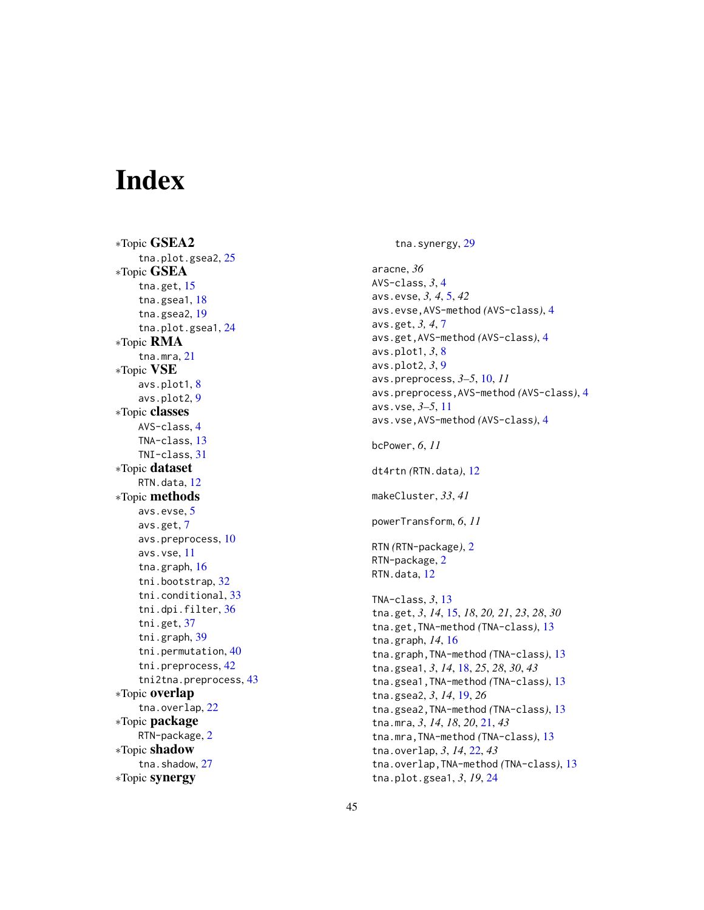# <span id="page-44-0"></span>Index

∗Topic GSEA2 tna.plot.gsea2 , [25](#page-24-0) ∗Topic GSEA tna.get , [15](#page-14-0) tna.gsea1 , [18](#page-17-0) tna.gsea2 , [19](#page-18-0) tna.plot.gsea1 , [24](#page-23-0) ∗Topic RMA tna.mra , [21](#page-20-0) ∗Topic VSE avs.plot1, [8](#page-7-0) avs.plot2 , [9](#page-8-0) ∗Topic classes AVS-class , [4](#page-3-0) TNA-class , [13](#page-12-0) TNI-class , [31](#page-30-0) ∗Topic dataset RTN.data , [12](#page-11-0) ∗Topic methods avs.evse , [5](#page-4-0) avs.get , [7](#page-6-0) avs.preprocess , [10](#page-9-0) avs.vse , [11](#page-10-0) tna.graph , [16](#page-15-0) tni.bootstrap , [32](#page-31-0) tni.conditional , [33](#page-32-0) tni.dpi.filter , [36](#page-35-0) tni.get , [37](#page-36-0) tni.graph , [39](#page-38-0) tni.permutation , [40](#page-39-0) tni.preprocess , [42](#page-41-0) tni2tna.preprocess , [43](#page-42-0) ∗Topic overlap tna.overlap , [22](#page-21-0) ∗Topic package RTN-package, [2](#page-1-0) ∗Topic shadow tna.shadow, [27](#page-26-0) ∗Topic synergy

tna.synergy, [29](#page-28-0)

aracne , *36* AVS-class , *3* , [4](#page-3-0) avs.evse, 3, 4, [5](#page-4-0), 42 avs.evse,AVS-method *(*AVS-class *)* , [4](#page-3-0) avs.get, 3, 4, [7](#page-6-0) avs.get,AVS-method *(*AVS-class *)* , [4](#page-3-0) avs.plot1 , *3* , [8](#page-7-0) avs.plot2 , *3* , [9](#page-8-0) avs.preprocess , *3–5* , [10](#page-9-0) , *11* avs.preprocess,AVS-method *(*AVS-class *)* , [4](#page-3-0) avs.vse , *3–5* , [11](#page-10-0) avs.vse,AVS-method *(*AVS-class *)* , [4](#page-3-0) bcPower , *6* , *11* dt4rtn *(*RTN.data *)* , [12](#page-11-0) makeCluster , *33* , *41* powerTransform , *6* , *11* RTN *(*RTN-package *)* , [2](#page-1-0) RTN-package, [2](#page-1-0) RTN.data , [12](#page-11-0) TNA-class, 3, [13](#page-12-0) tna.get , *3* , *14* , [15](#page-14-0) , *18* , *20, 21* , *23* , *28* , *30* tna.get,TNA-method *(*TNA-class *)* , [13](#page-12-0) tna.graph , *14* , [16](#page-15-0) tna.graph,TNA-method *(*TNA-class *)* , [13](#page-12-0) tna.gsea1 , *3* , *14* , [18](#page-17-0) , *25* , *28* , *30* , *43* tna.gsea1,TNA-method *(*TNA-class *)* , [13](#page-12-0) tna.gsea2 , *3* , *14* , [19](#page-18-0) , *26* tna.gsea2,TNA-method *(*TNA-class *)* , [13](#page-12-0) tna.mra , *3* , *14* , *18* , *20* , [21](#page-20-0) , *43* tna.mra,TNA-method *(*TNA-class *)* , [13](#page-12-0) tna.overlap , *3* , *14* , [22](#page-21-0) , *43* tna.overlap,TNA-method *(*TNA-class *)* , [13](#page-12-0) tna.plot.gsea1 , *3* , *19* , [24](#page-23-0)